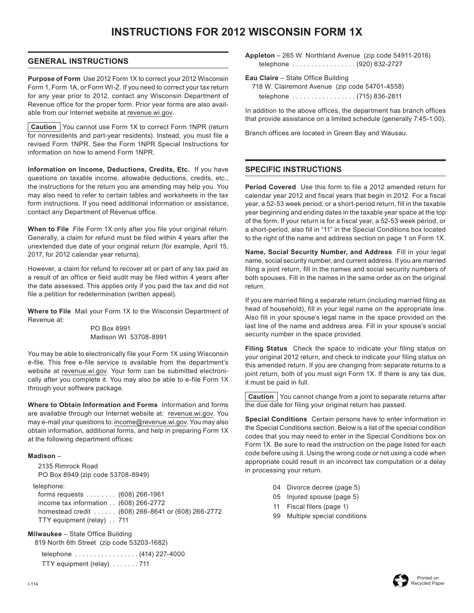# **INSTRUCTIONS FOR 2012 WISCONSIN FORM 1X**

#### **GENERAL INSTRUCTIONS**

**Purpose of Form** Use 2012 Form 1X to correct your 2012 Wisconsin Form 1, Form 1A, or Form WI-Z. If you need to correct your tax return for any year prior to 2012, contact any Wisconsin Department of Revenue office for the proper form. Prior year forms are also available from our Internet website at [revenue.wi.gov.](http://www.revenue.wi.gov)

**Caution** You cannot use Form 1X to correct Form 1NPR (return for nonresidents and part-year residents). Instead, you must file a revised Form 1NPR. See the Form 1NPR Special Instructions for information on how to amend Form 1NPR.

**Information on Income, Deductions, Credits, Etc.** If you have questions on taxable income, allowable deductions, credits, etc., the instructions for the return you are amending may help you. You may also need to refer to certain tables and worksheets in the tax form instructions. If you need additional information or assistance, contact any Department of Revenue office.

**When to File** File Form 1X only after you file your original return. Generally, a claim for refund must be filed within 4 years after the unextended due date of your original return (for example, April 15, 2017, for 2012 calendar year returns).

However, a claim for refund to recover all or part of any tax paid as a result of an office or field audit may be filed within 4 years after the date assessed. This applies only if you paid the tax and did not file a petition for redetermination (written appeal).

**Where to File** Mail your Form 1X to the Wisconsin Department of Revenue at:

> PO Box 8991 Madison WI 53708-8991

You may be able to electronically file your Form 1X using Wisconsin *e*-file. This free e-file service is available from the department's website at [revenue.wi.gov.](http://www.revenue.wi.gov) Your form can be submitted electronically after you complete it. You may also be able to e-file Form 1X through your software package.

**Where to Obtain Information and Forms** Information and forms are available through our Internet website at: [revenue.wi.gov](http://www.revenue.wi.gov). You may e-mail your questions to: income@revenue.wi.gov. You may also obtain information, additional forms, and help in preparing Form 1X at the following department offices:

#### **Madison** –

 2135 Rimrock Road PO Box 8949 (zip code 53708-8949) telephone: forms requests . . (608) 266-1961 income tax information . . (608) 266-2772

 homestead credit . . (608) 266-8641 or (608) 266-2772 TTY equipment (relay) . . 711

**Milwaukee** – State Office Building

819 North 6th Street (zip code 53203-1682)

telephone . . . . . . . . . . . . . . . . . (414) 227-4000 TTY equipment (relay) . . . . . . . 711

**Appleton** – 265 W. Northland Avenue (zip code 54911-2016) telephone . . . . . . . . . . . . . . . . . (920) 832-2727

- **Eau Claire** State Office Building
	- 718 W. Clairemont Avenue (zip code 54701-4558) telephone . . . . . . . . . . . . . . . . . (715) 836-2811

In addition to the above offices, the department has branch offices that provide assistance on a limited schedule (generally 7:45-1:00).

Branch offices are located in Green Bay and Wausau.

#### **SPECIFIC INSTRUCTIONS**

**Period Covered** Use this form to file a 2012 amended return for calendar year 2012 and fiscal years that begin in 2012. For a fiscal year, a 52-53 week period, or a short-period return, fill in the taxable year beginning and ending dates in the taxable year space at the top of the form. If your return is for a fiscal year, a 52-53 week period, or a short-period, also fill in "11" in the Special Conditions box located to the right of the name and address section on page 1 on Form 1X.

**Name, Social Security Number, and Address** Fill in your legal name, social security number, and current address. If you are married filing a joint return, fill in the names and social security numbers of both spouses. Fill in the names in the same order as on the original return.

If you are married filing a separate return (including married filing as head of household), fill in your legal name on the appropriate line. Also fill in your spouse's legal name in the space provided on the last line of the name and address area. Fill in your spouse's social security number in the space provided.

**Filing Status** Check the space to indicate your filing status on your original 2012 return, and check to indicate your filing status on this amended return. If you are changing from separate returns to a joint return, both of you must sign Form 1X. If there is any tax due, it must be paid in full.

**Caution** You cannot change from a joint to separate returns after the due date for filing your original return has passed.

**Special Conditions** Certain persons have to enter information in the Special Conditions section. Below is a list of the special condition codes that you may need to enter in the Special Conditions box on Form 1X. Be sure to read the instruction on the page listed for each code before using it. Using the wrong code or not using a code when appropriate could result in an incorrect tax computation or a delay in processing your return.

- 04 Divorce decree (page 5)
- 05 Injured spouse (page 5)
- 11 Fiscal filers (page 1)
- 99 Multiple special conditions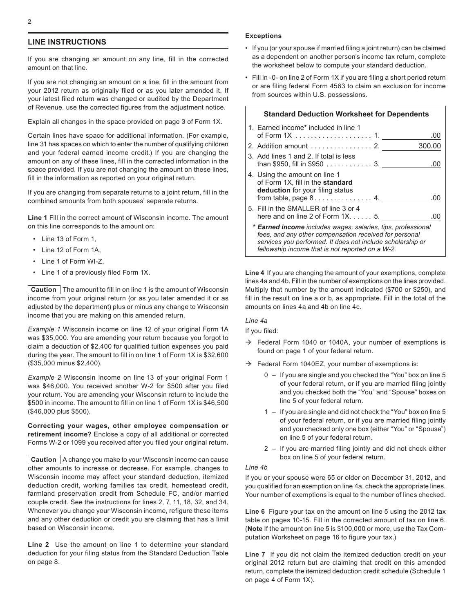#### **LINE INSTRUCTIONS**

If you are changing an amount on any line, fill in the corrected amount on that line.

If you are not changing an amount on a line, fill in the amount from your 2012 return as originally filed or as you later amended it. If your latest filed return was changed or audited by the Department of Revenue, use the corrected figures from the adjustment notice.

Explain all changes in the space provided on page 3 of Form 1X.

Certain lines have space for additional information. (For example, line 31 has spaces on which to enter the number of qualifying children and your federal earned income credit.) If you are changing the amount on any of these lines, fill in the corrected information in the space provided. If you are not changing the amount on these lines, fill in the information as reported on your original return.

If you are changing from separate returns to a joint return, fill in the combined amounts from both spouses' separate returns.

**Line 1** Fill in the correct amount of Wisconsin income. The amount on this line corresponds to the amount on:

- • Line 13 of Form 1,
- • Line 12 of Form 1A,
- • Line 1 of Form WI-Z,
- • Line 1 of a previously filed Form 1X.

**Caution** The amount to fill in on line 1 is the amount of Wisconsin income from your original return (or as you later amended it or as adjusted by the department) plus or minus any change to Wisconsin income that you are making on this amended return.

*Example 1* Wisconsin income on line 12 of your original Form 1A was \$35,000. You are amending your return because you forgot to claim a deduction of \$2,400 for qualified tuition expenses you paid during the year. The amount to fill in on line 1 of Form 1X is \$32,600 (\$35,000 minus \$2,400).

*Example 2* Wisconsin income on line 13 of your original Form 1 was \$46,000. You received another W-2 for \$500 after you filed your return. You are amending your Wisconsin return to include the \$500 in income. The amount to fill in on line 1 of Form 1X is \$46,500 (\$46,000 plus \$500).

**Correcting your wages, other employee compensation or retirement income?** Enclose a copy of all additional or corrected Forms W-2 or 1099 you received after you filed your original return.

**Caution** | A change you make to your Wisconsin income can cause other amounts to increase or decrease. For example, changes to Wisconsin income may affect your standard deduction, itemized deduction credit, working families tax credit, homestead credit, farmland preservation credit from Schedule FC, and/or married couple credit. See the instructions for lines 2, 7, 11, 18, 32, and 34. Whenever you change your Wisconsin income, refigure these items and any other deduction or credit you are claiming that has a limit based on Wisconsin income.

**Line 2** Use the amount on line 1 to determine your standard deduction for your filing status from the Standard Deduction Table on page 8.

#### **Exceptions**

- If you (or your spouse if married filing a joint return) can be claimed as a dependent on another person's income tax return, complete the worksheet below to compute your standard deduction.
- Fill in -0- on line 2 of Form 1X if you are filing a short period return or are filing federal Form 4563 to claim an exclusion for income from sources within U.S. possessions.

| <b>Standard Deduction Worksheet for Dependents</b>                                                                                                                                                                                              |        |
|-------------------------------------------------------------------------------------------------------------------------------------------------------------------------------------------------------------------------------------------------|--------|
| 1. Earned income* included in line 1                                                                                                                                                                                                            | .00    |
| 2. Addition amount 2.                                                                                                                                                                                                                           | 300.00 |
| 3. Add lines 1 and 2. If total is less<br>than \$950, fill in \$950 3.                                                                                                                                                                          |        |
| 4. Using the amount on line 1<br>of Form 1X, fill in the standard<br>deduction for your filing status                                                                                                                                           | .00    |
| 5. Fill in the SMALLER of line 3 or 4<br>here and on line 2 of Form $1X$ 5.                                                                                                                                                                     |        |
| * <b>Earned income</b> includes wages, salaries, tips, professional<br>fees, and any other compensation received for personal<br>services you performed. It does not include scholarship or<br>fellowship income that is not reported on a W-2. |        |

**Line 4** If you are changing the amount of your exemptions, complete lines 4a and 4b. Fill in the number of exemptions on the lines provided. Multiply that number by the amount indicated (\$700 or \$250), and fill in the result on line a or b, as appropriate. Fill in the total of the amounts on lines 4a and 4b on line 4c.

#### *Line 4a*

If you filed:

- $\rightarrow$  Federal Form 1040 or 1040A, your number of exemptions is found on page 1 of your federal return.
- $\rightarrow$  Federal Form 1040EZ, your number of exemptions is:
	- 0 If you are single and you checked the "You" box on line 5 of your federal return, or if you are married filing jointly and you checked both the "You" and "Spouse" boxes on line 5 of your federal return.
	- 1 If you are single and did not check the "You" box on line 5 of your federal return, or if you are married filing jointly and you checked only one box (either "You" or "Spouse") on line 5 of your federal return.
	- 2 If you are married filing jointly and did not check either box on line 5 of your federal return.

#### *Line 4b*

If you or your spouse were 65 or older on December 31, 2012, and you qualified for an exemption on line 4a, check the appropriate lines. Your number of exemptions is equal to the number of lines checked.

**Line 6** Figure your tax on the amount on line 5 using the 2012 tax table on pages 10-15. Fill in the corrected amount of tax on line 6. (**Note** If the amount on line 5 is \$100,000 or more, use the Tax Computation Worksheet on page 16 to figure your tax.)

**Line 7** If you did not claim the itemized deduction credit on your original 2012 return but are claiming that credit on this amended return, complete the itemized deduction credit schedule (Schedule 1 on page 4 of Form 1X).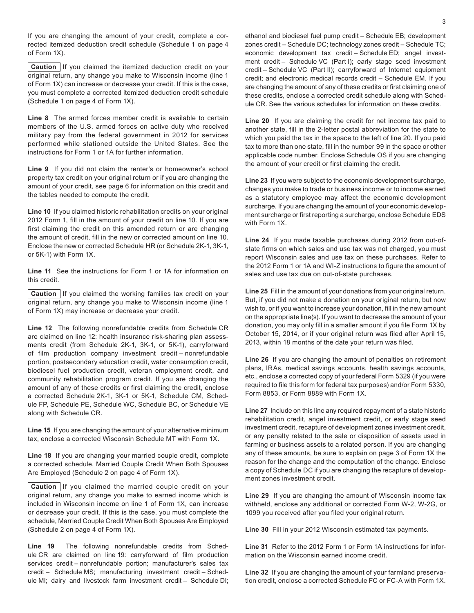If you are changing the amount of your credit, complete a corrected itemized deduction credit schedule (Schedule 1 on page 4 of Form 1X).

**Caution** If you claimed the itemized deduction credit on your original return, any change you make to Wisconsin income (line 1 of Form 1X) can increase or decrease your credit. If this is the case, you must complete a corrected itemized deduction credit schedule (Schedule 1 on page 4 of Form 1X).

**Line 8** The armed forces member credit is available to certain members of the U.S. armed forces on active duty who received military pay from the federal government in 2012 for services performed while stationed outside the United States. See the instructions for Form 1 or 1A for further information.

**Line 9** If you did not claim the renter's or homeowner's school property tax credit on your original return or if you are changing the amount of your credit, see page 6 for information on this credit and the tables needed to compute the credit.

**Line 10** If you claimed historic rehabilitation credits on your original 2012 Form 1, fill in the amount of your credit on line 10. If you are first claiming the credit on this amended return or are changing the amount of credit, fill in the new or corrected amount on line 10. Enclose the new or corrected Schedule HR (or Schedule 2K-1, 3K-1, or 5K-1) with Form 1X.

**Line 11** See the instructions for Form 1 or 1A for information on this credit.

**Caution** If you claimed the working families tax credit on your original return, any change you make to Wisconsin income (line 1 of Form 1X) may increase or decrease your credit.

**Line 12** The following nonrefundable credits from Schedule CR are claimed on line 12: health insurance risk-sharing plan assessments credit (from Schedule 2K-1, 3K-1, or 5K-1), carryforward of film production company investment credit – nonrefundable portion, postsecondary education credit, water consumption credit, biodiesel fuel production credit, veteran employment credit, and community rehabilitation program credit. If you are changing the amount of any of these credits or first claiming the credit, enclose a corrected Schedule 2K-1, 3K-1 or 5K-1, Schedule CM, Schedule FP, Schedule PE, Schedule WC, Schedule BC, or Schedule VE along with Schedule CR.

**Line 15** If you are changing the amount of your alternative minimum tax, enclose a corrected Wisconsin Schedule MT with Form 1X.

**Line 18** If you are changing your married couple credit, complete a corrected schedule, Married Couple Credit When Both Spouses Are Employed (Schedule 2 on page 4 of Form 1X).

**Caution** If you claimed the married couple credit on your original return, any change you make to earned income which is included in Wisconsin income on line 1 of Form 1X, can increase or decrease your credit. If this is the case, you must complete the schedule, Married Couple Credit When Both Spouses Are Employed (Schedule 2 on page 4 of Form 1X).

Line 19 The following nonrefundable credits from Schedule CR are claimed on line 19: carryforward of film production services credit – nonrefundable portion; manufacturer's sales tax credit – Schedule MS; manufacturing investment credit – Schedule MI; dairy and livestock farm investment credit – Schedule DI;

ethanol and biodiesel fuel pump credit – Schedule EB; development zones credit – Schedule DC; technology zones credit – Schedule TC; economic development tax credit – Schedule ED; angel investment credit – Schedule VC (Part I); early stage seed investment credit – Schedule VC (Part II); carryforward of Internet equipment credit; and electronic medical records credit – Schedule EM. If you are changing the amount of any of these credits or first claiming one of these credits, enclose a corrected credit schedule along with Schedule CR. See the various schedules for information on these credits.

**Line 20** If you are claiming the credit for net income tax paid to another state, fill in the 2-letter postal abbreviation for the state to which you paid the tax in the space to the left of line 20. If you paid tax to more than one state, fill in the number 99 in the space or other applicable code number. Enclose Schedule OS if you are changing the amount of your credit or first claiming the credit.

**Line 23** If you were subject to the economic development surcharge, changes you make to trade or business income or to income earned as a statutory employee may affect the economic development surcharge. If you are changing the amount of your economic development surcharge or first reporting a surcharge, enclose Schedule EDS with Form 1X.

**Line 24** If you made taxable purchases during 2012 from out-ofstate firms on which sales and use tax was not charged, you must report Wisconsin sales and use tax on these purchases. Refer to the 2012 Form 1 or 1A and WI-Z instructions to figure the amount of sales and use tax due on out-of-state purchases.

**Line 25** Fill in the amount of your donations from your original return. But, if you did not make a donation on your original return, but now wish to, or if you want to increase your donation, fill in the new amount on the appropriate line(s). If you want to decrease the amount of your donation, you may only fill in a smaller amount if you file Form 1X by October 15, 2014, or if your original return was filed after April 15, 2013, within 18 months of the date your return was filed.

**Line 26** If you are changing the amount of penalties on retirement plans, IRAs, medical savings accounts, health savings accounts, etc., enclose a corrected copy of your federal Form 5329 (if you were required to file this form for federal tax purposes) and/or Form 5330, Form 8853, or Form 8889 with Form 1X.

**Line 27** Include on this line any required repayment of a state historic rehabilitation credit, angel investment credit, or early stage seed investment credit, recapture of development zones investment credit, or any penalty related to the sale or disposition of assets used in farming or business assets to a related person. If you are changing any of these amounts, be sure to explain on page 3 of Form 1X the reason for the change and the computation of the change. Enclose a copy of Schedule DC if you are changing the recapture of development zones investment credit.

**Line 29** If you are changing the amount of Wisconsin income tax withheld, enclose any additional or corrected Form W-2, W-2G, or 1099 you received after you filed your original return.

**Line 30** Fill in your 2012 Wisconsin estimated tax payments.

**Line 31** Refer to the 2012 Form 1 or Form 1A instructions for information on the Wisconsin earned income credit.

**Line 32** If you are changing the amount of your farmland preservation credit, enclose a corrected Schedule FC or FC-A with Form 1X.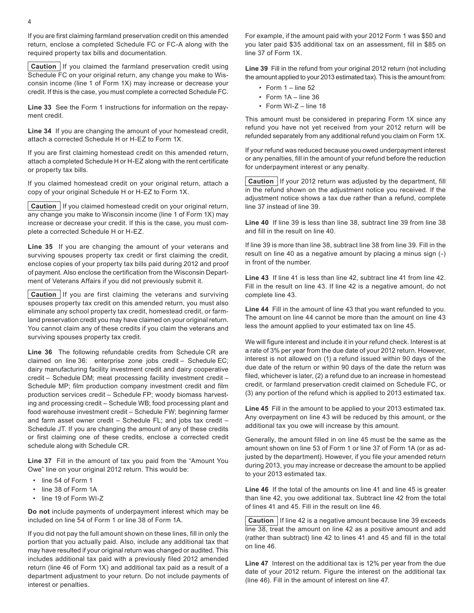If you are first claiming farmland preservation credit on this amended return, enclose a completed Schedule FC or FC-A along with the required property tax bills and documentation.

**Caution** If you claimed the farmland preservation credit using Schedule FC on your original return, any change you make to Wisconsin income (line 1 of Form 1X) may increase or decrease your credit. If this is the case, you must complete a corrected Schedule FC.

**Line 33** See the Form 1 instructions for information on the repayment credit.

**Line 34** If you are changing the amount of your homestead credit, attach a corrected Schedule H or H-EZ to Form 1X.

If you are first claiming homestead credit on this amended return, attach a completed Schedule H or H-EZ along with the rent certificate or property tax bills.

If you claimed homestead credit on your original return, attach a copy of your original Schedule H or H-EZ to Form 1X.

**Caution** If you claimed homestead credit on your original return, any change you make to Wisconsin income (line 1 of Form 1X) may increase or decrease your credit. If this is the case, you must complete a corrected Schedule H or H-EZ.

**Line 35** If you are changing the amount of your veterans and surviving spouses property tax credit or first claiming the credit, enclose copies of your property tax bills paid during 2012 and proof of payment. Also enclose the certification from the Wisconsin Department of Veterans Affairs if you did not previously submit it.

**Caution** If you are first claiming the veterans and surviving spouses property tax credit on this amended return, you must also eliminate any school property tax credit, homestead credit, or farmland preservation credit you may have claimed on your original return. You cannot claim any of these credits if you claim the veterans and surviving spouses property tax credit.

**Line 36** The following refundable credits from Schedule CR are claimed on line 36: enterprise zone jobs credit – Schedule EC; dairy manufacturing facility investment credit and dairy cooperative credit – Schedule DM; meat processing facility investment credit – Schedule MP; film production company investment credit and film production services credit – Schedule FP; woody biomass harvesting and processing credit – Schedule WB; food processing plant and food warehouse investment credit – Schedule FW; beginning farmer and farm asset owner credit – Schedule FL; and jobs tax credit – Schedule JT. If you are changing the amount of any of these credits or first claiming one of these credits, enclose a corrected credit schedule along with Schedule CR.

**Line 37** Fill in the amount of tax you paid from the "Amount You Owe" line on your original 2012 return. This would be:

- line 54 of Form 1
- • line 38 of Form 1A
- • line 19 of Form WI-Z

**Do not** include payments of underpayment interest which may be included on line 54 of Form 1 or line 38 of Form 1A.

If you did not pay the full amount shown on these lines, fill in only the portion that you actually paid. Also, include any additional tax that may have resulted if your original return was changed or audited. This includes additional tax paid with a previously filed 2012 amended return (line 46 of Form 1X) and additional tax paid as a result of a department adjustment to your return. Do not include payments of interest or penalties.

For example, if the amount paid with your 2012 Form 1 was \$50 and you later paid \$35 additional tax on an assessment, fill in \$85 on line 37 of Form 1X.

**Line 39** Fill in the refund from your original 2012 return (not including the amount applied to your 2013 estimated tax). This is the amount from:

- $\cdot$  Form 1 line 52
- $\cdot$  Form 1A line 36
- $\cdot$  Form WI-Z line 18

This amount must be considered in preparing Form 1X since any refund you have not yet received from your 2012 return will be refunded separately from any additional refund you claim on Form 1X.

If your refund was reduced because you owed underpayment interest or any penalties, fill in the amount of your refund before the reduction for underpayment interest or any penalty.

**Caution** If your 2012 return was adjusted by the department, fill in the refund shown on the adjustment notice you received. If the adjustment notice shows a tax due rather than a refund, complete line 37 instead of line 39.

**Line 40** If line 39 is less than line 38, subtract line 39 from line 38 and fill in the result on line 40.

If line 39 is more than line 38, subtract line 38 from line 39. Fill in the result on line 40 as a negative amount by placing a minus sign (-) in front of the number.

**Line 43** If line 41 is less than line 42, subtract line 41 from line 42. Fill in the result on line 43. If line 42 is a negative amount, do not complete line 43.

**Line 44** Fill in the amount of line 43 that you want refunded to you. The amount on line 44 cannot be more than the amount on line 43 less the amount applied to your estimated tax on line 45.

We will figure interest and include it in your refund check. Interest is at a rate of 3% per year from the due date of your 2012 return. However, interest is not allowed on (1) a refund issued within 90 days of the due date of the return or within 90 days of the date the return was filed, whichever is later, (2) a refund due to an increase in homestead credit, or farmland preservation credit claimed on Schedule FC, or (3) any portion of the refund which is applied to 2013 estimated tax.

**Line 45** Fill in the amount to be applied to your 2013 estimated tax. Any overpayment on line 43 will be reduced by this amount, or the additional tax you owe will increase by this amount.

Generally, the amount filled in on line 45 must be the same as the amount shown on line 53 of Form 1 or line 37 of Form 1A (or as adjusted by the department). However, if you file your amended return during 2013, you may increase or decrease the amount to be applied to your 2013 estimated tax.

**Line 46** If the total of the amounts on line 41 and line 45 is greater than line 42, you owe additional tax. Subtract line 42 from the total of lines 41 and 45. Fill in the result on line 46.

**Caution** If line 42 is a negative amount because line 39 exceeds line 38, treat the amount on line 42 as a positive amount and add (rather than subtract) line 42 to lines 41 and 45 and fill in the total on line 46.

**Line 47** Interest on the additional tax is 12% per year from the due date of your 2012 return. Figure the interest on the additional tax (line 46). Fill in the amount of interest on line 47.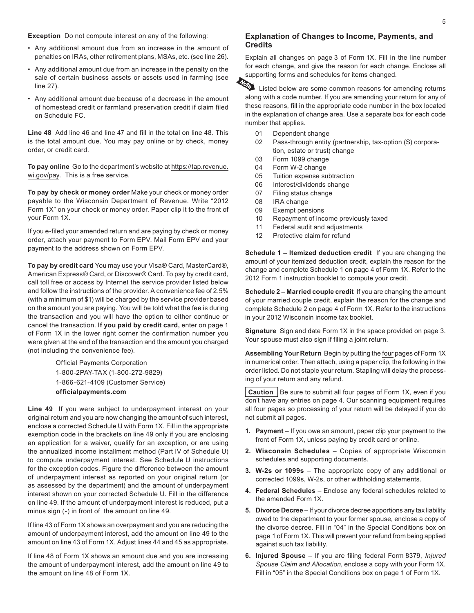**Exception** Do not compute interest on any of the following:

- Any additional amount due from an increase in the amount of penalties on IRAs, other retirement plans, MSAs, etc. (see line 26).
- • Any additional amount due from an increase in the penalty on the sale of certain business assets or assets used in farming (see line 27).
- • Any additional amount due because of a decrease in the amount of homestead credit or farmland preservation credit if claim filed on Schedule FC.

**Line 48** Add line 46 and line 47 and fill in the total on line 48. This is the total amount due. You may pay online or by check, money order, or credit card.

**To pay online** Go to the department's website at https://tap.revenue. wi.gov/pay. This is a free service.

**To pay by check or money order** Make your check or money order payable to the Wisconsin Department of Revenue. Write "2012 Form 1X" on your check or money order. Paper clip it to the front of your Form 1X.

If you e-filed your amended return and are paying by check or money order, attach your payment to Form EPV. Mail Form EPV and your payment to the address shown on Form EPV.

**To pay by credit card** You may use your Visa® Card, MasterCard®, American Express® Card, or Discover® Card. To pay by credit card, call toll free or access by Internet the service provider listed below and follow the instructions of the provider. A convenience fee of 2.5% (with a minimum of \$1) will be charged by the service provider based on the amount you are paying. You will be told what the fee is during the transaction and you will have the option to either continue or cancel the transaction. **If you paid by credit card,** enter on page 1 of Form 1X in the lower right corner the confirmation number you were given at the end of the transaction and the amount you charged (not including the convenience fee).

> Official Payments Corporation 1-800-2PAY-TAX (1-800-272-9829) 1-866-621-4109 (Customer Service) **[officialpayments.com](http://www.officialpayments.com)**

**Line 49** If you were subject to underpayment interest on your original return and you are now changing the amount of such interest, enclose a corrected Schedule U with Form 1X. Fill in the appropriate exemption code in the brackets on line 49 only if you are enclosing an application for a waiver, qualify for an exception, or are using the annualized income installment method (Part IV of Schedule U) to compute underpayment interest. See Schedule U instructions for the exception codes. Figure the difference between the amount of underpayment interest as reported on your original return (or as assessed by the department) and the amount of underpayment interest shown on your corrected Schedule U. Fill in the difference on line 49. If the amount of underpayment interest is reduced, put a minus sign (-) in front of the amount on line 49.

If line 43 of Form 1X shows an overpayment and you are reducing the amount of underpayment interest, add the amount on line 49 to the amount on line 43 of Form 1X. Adjust lines 44 and 45 as appropriate.

If line 48 of Form 1X shows an amount due and you are increasing the amount of underpayment interest, add the amount on line 49 to the amount on line 48 of Form 1X.

#### **Explanation of Changes to Income, Payments, and Credits**

Explain all changes on page 3 of Form 1X. Fill in the line number for each change, and give the reason for each change. Enclose all



supporting forms and schedules for items changed. Listed below are some common reasons for amending returns along with a code number. If you are amending your return for any of these reasons, fill in the appropriate code number in the box located in the explanation of change area. Use a separate box for each code number that applies.

- 01 Dependent change
- 02 Pass-through entity (partnership, tax-option (S) corporation, estate or trust) change
- 03 Form 1099 change
- 04 Form W-2 change
- 05 Tuition expense subtraction
- 06 Interest/dividends change
- 07 Filing status change
- 08 IRA change
- 09 Exempt pensions
- 10 Repayment of income previously taxed
- 11 Federal audit and adjustments
- 12 Protective claim for refund

**Schedule 1 – Itemized deduction credit** If you are changing the amount of your itemized deduction credit, explain the reason for the change and complete Schedule 1 on page 4 of Form 1X. Refer to the 2012 Form 1 instruction booklet to compute your credit.

**Schedule 2 – Married couple credit** If you are changing the amount of your married couple credit, explain the reason for the change and complete Schedule 2 on page 4 of Form 1X. Refer to the instructions in your 2012 Wisconsin income tax booklet.

**Signature** Sign and date Form 1X in the space provided on page 3. Your spouse must also sign if filing a joint return.

**Assembling Your Return** Begin by putting the four pages of Form 1X in numerical order. Then attach, using a paper clip, the following in the order listed. Do not staple your return. Stapling will delay the processing of your return and any refund.

**Caution** | Be sure to submit all four pages of Form 1X, even if you don't have any entries on page 4. Our scanning equipment requires all four pages so processing of your return will be delayed if you do not submit all pages.

- **1. Payment** If you owe an amount, paper clip your payment to the front of Form 1X, unless paying by credit card or online.
- **2. Wisconsin Schedules** Copies of appropriate Wisconsin schedules and supporting documents.
- **3. W‑2s or 1099s** The appropriate copy of any additional or corrected 1099s, W-2s, or other withholding statements.
- **4. Federal Schedules** Enclose any federal schedules related to the amended Form 1X.
- **5. Divorce Decree** If your divorce decree apportions any tax liability owed to the department to your former spouse, enclose a copy of the divorce decree. Fill in "04" in the Special Conditions box on page 1 of Form 1X. This will prevent your refund from being applied against such tax liability.
- **6. Injured Spouse** If you are filing federal Form 8379, *Injured Spouse Claim and Allocation*, enclose a copy with your Form 1X. Fill in "05" in the Special Conditions box on page 1 of Form 1X.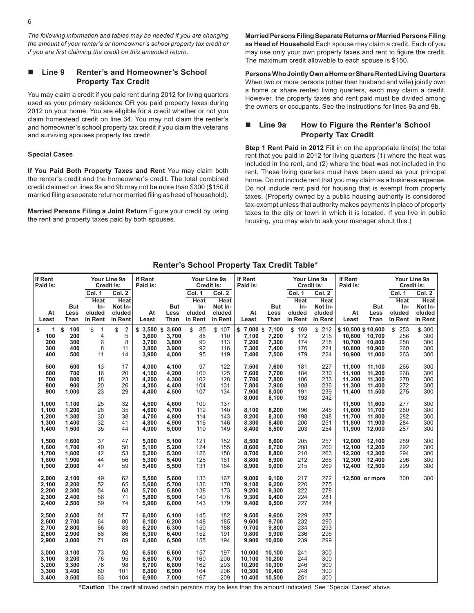*The following information and tables may be needed if you are changing the amount of your renter's or homeowner's school property tax credit or if you are first claiming the credit on this amended return.*

#### n **Line 9 Renter's and Homeowner's School Property Tax Credit**

You may claim a credit if you paid rent during 2012 for living quarters used as your primary residence OR you paid property taxes during 2012 on your home. You are eligible for a credit whether or not you claim homestead credit on line 34. You may not claim the renter's and homeowner's school property tax credit if you claim the veterans and surviving spouses property tax credit.

#### **Special Cases**

**If You Paid Both Property Taxes and Rent** You may claim both the renter's credit and the homeowner's credit. The total combined credit claimed on lines 9a and 9b may not be more than \$300 (\$150 if married filing a separate return or married filing as head of household).

**Married Persons Filing a Joint Return** Figure your credit by using the rent and property taxes paid by both spouses.

**Married Persons Filing Separate Returns or Married Persons Filing as Head of Household** Each spouse may claim a credit. Each of you may use only your own property taxes and rent to figure the credit. The maximum credit allowable to each spouse is \$150.

**Persons Who Jointly Own a Home or Share Rented Living Quarters**  When two or more persons (other than husband and wife) jointly own a home or share rented living quarters, each may claim a credit. However, the property taxes and rent paid must be divided among the owners or occupants. See the instructions for lines 9a and 9b.

#### Line 9a How to Figure the Renter's School **Property Tax Credit**

**Step 1 Rent Paid in 2012** Fill in on the appropriate line(s) the total rent that you paid in 2012 for living quarters (1) where the heat was included in the rent, and (2) where the heat was not included in the rent. These living quarters must have been used as your principal home. Do not include rent that you may claim as a business expense. Do not include rent paid for housing that is exempt from property taxes. (Property owned by a public housing authority is considered tax-exempt unless that authority makes payments in place of property taxes to the city or town in which it is located. If you live in public housing, you may wish to ask your manager about this.)

#### **Renter's School Property Tax Credit Table\***

| If Rent<br>Paid is:                       |                                           |                                                   | Your Line 9a<br>Credit is:                            | If Rent<br>Paid is:                             |                                           | Your Line 9a<br>Credit is:                        |                                                       | If Rent<br>Paid is:                                |                                                    | Your Line 9a<br>Credit is:                        |                                                       | If Rent<br>Paid is:                                       |                                                |                                            | Your Line 9a<br>Credit is:                            |
|-------------------------------------------|-------------------------------------------|---------------------------------------------------|-------------------------------------------------------|-------------------------------------------------|-------------------------------------------|---------------------------------------------------|-------------------------------------------------------|----------------------------------------------------|----------------------------------------------------|---------------------------------------------------|-------------------------------------------------------|-----------------------------------------------------------|------------------------------------------------|--------------------------------------------|-------------------------------------------------------|
| At<br>Least                               | But<br>Less<br>Than                       | Col. 1<br><b>Heat</b><br>In-<br>cluded<br>in Rent | Col. 2<br><b>Heat</b><br>Not In-<br>cluded<br>in Rent | At<br>Least                                     | But<br>Less<br>Than                       | Col. 1<br><b>Heat</b><br>In-<br>cluded<br>in Rent | Col. 2<br><b>Heat</b><br>Not In-<br>cluded<br>in Rent | At<br>Least                                        | <b>But</b><br>Less<br>Than                         | Col. 1<br><b>Heat</b><br>In-<br>cluded<br>in Rent | Col. 2<br><b>Heat</b><br>Not In-<br>cluded<br>in Rent | At<br>Least                                               | <b>But</b><br>Less<br>Than                     | Col. 1<br>Heat<br>In-<br>cluded<br>in Rent | Col. 2<br><b>Heat</b><br>Not In-<br>cluded<br>in Rent |
| \$<br>1<br>100<br>200<br>300<br>400       | 100<br>\$<br>200<br>300<br>400<br>500     | \$<br>$\overline{1}$<br>4<br>6<br>8<br>11         | \$<br>$\sqrt{2}$<br>5<br>8<br>11<br>14                | $$3,500$ \$<br>3.600<br>3,700<br>3,800<br>3,900 | 3,600<br>3,700<br>3,800<br>3,900<br>4,000 | \$<br>85<br>88<br>90<br>92<br>95                  | \$107<br>110<br>113<br>116<br>119                     | \$7,000\$7,100<br>7,100<br>7,200<br>7,300<br>7,400 | 7.200<br>7,300<br>7,400<br>7,500                   | \$169<br>172<br>174<br>176<br>179                 | \$212<br>215<br>218<br>221<br>224                     | \$10,500 \$10,600<br>10.600<br>10,700<br>10,800<br>10,900 | 10.700<br>10,800<br>10,900<br>11,000           | \$253<br>256<br>258<br>260<br>263          | \$ 300<br>300<br>300<br>300<br>300                    |
| 500<br>600<br>700<br>800<br>900           | 600<br>700<br>800<br>900<br>1,000         | 13<br>16<br>18<br>20<br>23                        | 17<br>20<br>23<br>26<br>29                            | 4,000<br>4,100<br>4,200<br>4,300<br>4,400       | 4,100<br>4,200<br>4,300<br>4,400<br>4,500 | 97<br>100<br>102<br>104<br>107                    | 122<br>125<br>128<br>131<br>134                       | 7,500<br>7,600<br>7,700<br>7,800<br>7,900<br>8,000 | 7,600<br>7,700<br>7,800<br>7,900<br>8,000<br>8,100 | 181<br>184<br>186<br>188<br>191<br>193            | 227<br>230<br>233<br>236<br>239<br>242                | 11,000<br>11,100<br>11,200<br>11,300<br>11,400            | 11,100<br>11,200<br>11,300<br>11,400<br>11,500 | 265<br>268<br>270<br>272<br>275            | 300<br>300<br>300<br>300<br>300                       |
| 1,000<br>1,100<br>1,200<br>1,300<br>1,400 | 1,100<br>1,200<br>1,300<br>1,400<br>1,500 | 25<br>28<br>30<br>32<br>35                        | 32<br>35<br>38<br>41<br>44                            | 4.500<br>4,600<br>4,700<br>4,800<br>4,900       | 4.600<br>4,700<br>4.800<br>4,900<br>5,000 | 109<br>112<br>114<br>116<br>119                   | 137<br>140<br>143<br>146<br>149                       | 8,100<br>8,200<br>8,300<br>8,400                   | 8,200<br>8,300<br>8,400<br>8,500                   | 196<br>198<br>200<br>203                          | 245<br>248<br>251<br>254                              | 11,500<br>11,600<br>11.700<br>11,800<br>11,900            | 11,600<br>11,700<br>11,800<br>11,900<br>12,000 | 277<br>280<br>282<br>284<br>287            | 300<br>300<br>300<br>300<br>300                       |
| 1,500<br>1,600<br>1,700<br>1,800<br>1,900 | 1,600<br>1,700<br>1,800<br>1,900<br>2,000 | 37<br>40<br>42<br>44<br>47                        | 47<br>50<br>53<br>56<br>59                            | 5,000<br>5,100<br>5,200<br>5,300<br>5,400       | 5,100<br>5,200<br>5,300<br>5,400<br>5,500 | 121<br>124<br>126<br>128<br>131                   | 152<br>155<br>158<br>161<br>164                       | 8,500<br>8.600<br>8,700<br>8,800<br>8,900          | 8,600<br>8.700<br>8,800<br>8,900<br>9,000          | 205<br>208<br>210<br>212<br>215                   | 257<br>260<br>263<br>266<br>269                       | 12,000<br>12,100<br>12,200<br>12,300<br>12,400            | 12,100<br>12,200<br>12,300<br>12,400<br>12,500 | 289<br>292<br>294<br>296<br>299            | 300<br>300<br>300<br>300<br>300                       |
| 2,000<br>2,100<br>2,200<br>2,300<br>2,400 | 2,100<br>2,200<br>2,300<br>2,400<br>2,500 | 49<br>52<br>54<br>56<br>59                        | 62<br>65<br>68<br>71<br>74                            | 5,500<br>5,600<br>5,700<br>5,800<br>5,900       | 5,600<br>5,700<br>5,800<br>5,900<br>6,000 | 133<br>136<br>138<br>140<br>143                   | 167<br>170<br>173<br>176<br>179                       | 9,000<br>9,100<br>9,200<br>9,300<br>9,400          | 9,100<br>9,200<br>9,300<br>9,400<br>9,500          | 217<br>220<br>222<br>224<br>227                   | 272<br>275<br>278<br>281<br>284                       |                                                           | 12,500 or more                                 | 300                                        | 300                                                   |
| 2,500<br>2,600<br>2,700<br>2,800<br>2,900 | 2,600<br>2,700<br>2,800<br>2,900<br>3,000 | 61<br>64<br>66<br>68<br>71                        | 77<br>80<br>83<br>86<br>89                            | 6,000<br>6,100<br>6,200<br>6,300<br>6,400       | 6,100<br>6,200<br>6,300<br>6,400<br>6,500 | 145<br>148<br>150<br>152<br>155                   | 182<br>185<br>188<br>191<br>194                       | 9,500<br>9,600<br>9,700<br>9,800<br>9,900          | 9,600<br>9,700<br>9,800<br>9,900<br>10,000         | 229<br>232<br>234<br>236<br>239                   | 287<br>290<br>293<br>296<br>299                       |                                                           |                                                |                                            |                                                       |
| 3,000<br>3,100<br>3,200<br>3,300<br>3,400 | 3,100<br>3,200<br>3,300<br>3,400<br>3,500 | 73<br>76<br>78<br>80<br>83                        | 92<br>95<br>98<br>101<br>104                          | 6,500<br>6,600<br>6,700<br>6,800<br>6,900       | 6,600<br>6,700<br>6,800<br>6,900<br>7,000 | 157<br>160<br>162<br>164<br>167                   | 197<br>200<br>203<br>206<br>209                       | 10,000<br>10,100<br>10,200<br>10,300<br>10.400     | 10,100<br>10,200<br>10,300<br>10,400<br>10,500     | 241<br>244<br>246<br>248<br>251                   | 300<br>300<br>300<br>300<br>300                       |                                                           |                                                |                                            |                                                       |

**\*Caution** The credit allowed certain persons may be less than the amount indicated. See "Special Cases" above.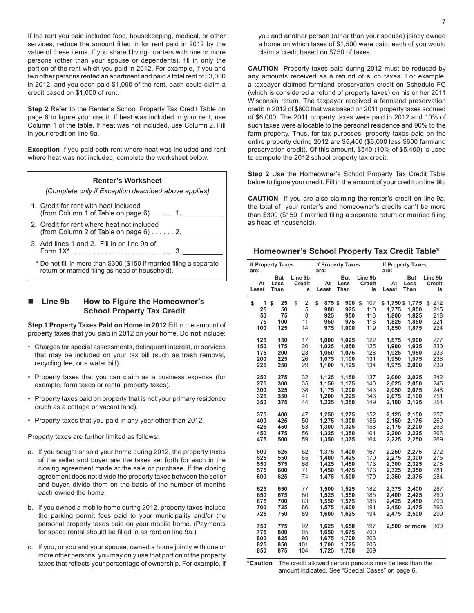If the rent you paid included food, housekeeping, medical, or other services, reduce the amount filled in for rent paid in 2012 by the value of these items. If you shared living quarters with one or more persons (other than your spouse or dependents), fill in only the portion of the rent which you paid in 2012. For example, if you and two other persons rented an apartment and paid a total rent of \$3,000 in 2012, and you each paid \$1,000 of the rent, each could claim a credit based on \$1,000 of rent.

**Step 2** Refer to the Renter's School Property Tax Credit Table on page 6 to figure your credit. If heat was included in your rent, use Column 1 of the table. If heat was not included, use Column 2. Fill in your credit on line 9a.

**Exception** If you paid both rent where heat was included and rent where heat was not included, complete the worksheet below.

## **Renter's Worksheet** *(Complete only if Exception described above applies)*

- 1. Credit for rent with heat included (from Column 1 of Table on page  $6$ )......1.
- 2. Credit for rent where heat not included (from Column 2 of Table on page  $6$ )......2.
- 3. Add lines 1 and 2. Fill in on line 9a of Form 1X**\***. . 3.
- **\*** Do not fill in more than \$300 (\$150 if married filing a separate return or married filing as head of household).

#### n **Line 9b How to Figure the Homeowner's School Property Tax Credit**

**Step 1 Property Taxes Paid on Home in 2012** Fill in the amount of property taxes that you *paid* in 2012 on your home. Do **not** include:

- Charges for special assessments, delinquent interest, or services that may be included on your tax bill (such as trash removal, recycling fee, or a water bill).
- Property taxes that you can claim as a business expense (for example, farm taxes or rental property taxes).
- Property taxes paid on property that is not your primary residence (such as a cottage or vacant land).
- Property taxes that you paid in any year other than 2012.

Property taxes are further limited as follows:

- a. If you bought or sold your home during 2012, the property taxes of the seller and buyer are the taxes set forth for each in the closing agreement made at the sale or purchase. If the closing agreement does not divide the property taxes between the seller and buyer, divide them on the basis of the number of months each owned the home.
- b. If you owned a mobile home during 2012, property taxes include the parking permit fees paid to your municipality and/or the personal property taxes paid on your mobile home. (Payments for space rental should be filled in as rent on line 9a.)
- c. If you, or you and your spouse, owned a home jointly with one or more other persons, you may only use that portion of the property taxes that reflects your percentage of ownership. For example, if

you and another person (other than your spouse) jointly owned a home on which taxes of \$1,500 were paid, each of you would claim a credit based on \$750 of taxes.

**CAUTION** Property taxes paid during 2012 must be reduced by any amounts received as a refund of such taxes. For example, a taxpayer claimed farmland preservation credit on Schedule FC (which is considered a refund of property taxes) on his or her 2011 Wisconsin return. The taxpayer received a farmland preservation credit in 2012 of \$600 that was based on 2011 property taxes accrued of \$6,000. The 2011 property taxes were paid in 2012 and 10% of such taxes were allocable to the personal residence and 90% to the farm property. Thus, for tax purposes, property taxes paid on the entire property during 2012 are \$5,400 (\$6,000 less \$600 farmland preservation credit). Of this amount, \$540 (10% of \$5,400) is used to compute the 2012 school property tax credit.

**Step 2** Use the Homeowner's School Property Tax Credit Table below to figure your credit. Fill in the amount of your credit on line 9b.

**CAUTION** If you are also claiming the renter's credit on line 9a, the total of your renter's and homeowner's credits can't be more than \$300 (\$150 if married filing a separate return or married filing as head of household).

| <b>If Property Taxes</b><br>are: |                                    |                               | are:                                      | <b>If Property Taxes</b>                  |                                       | <b>If Property Taxes</b><br>are:                    |                                                                              |
|----------------------------------|------------------------------------|-------------------------------|-------------------------------------------|-------------------------------------------|---------------------------------------|-----------------------------------------------------|------------------------------------------------------------------------------|
| At<br>Least                      | <b>But</b><br>Less<br>Than         | Line 9b<br>Credit<br>is       | At<br>Least                               | But<br>Less<br>Than                       | Line 9b<br>Credit<br>is               | <b>But</b><br>At<br>Less<br>Least<br>Than           | Line 9b<br>Credit<br>is                                                      |
| \$<br>1<br>25<br>50<br>75<br>100 | \$<br>25<br>50<br>75<br>100<br>125 | \$<br>2<br>5<br>8<br>11<br>14 | \$<br>875\$<br>900<br>925<br>950<br>975   | 900<br>925<br>950<br>975<br>1,000         | \$<br>107<br>110<br>113<br>116<br>119 | \$1,750 \$1,775<br>1,775<br>1,800<br>1.825<br>1.850 | 212<br>\$<br>215<br>1,800<br>218<br>1,825<br>1.850<br>221<br>1,875<br>224    |
| 125<br>150<br>175<br>200<br>225  | 150<br>175<br>200<br>225<br>250    | 17<br>20<br>23<br>26<br>29    | 1,000<br>1.025<br>1,050<br>1.075<br>1,100 | 1,025<br>1.050<br>1,075<br>1,100<br>1,125 | 122<br>125<br>128<br>131<br>134       | 1,875<br>1.900<br>1,925<br>1,950<br>1,975           | 1,900<br>227<br>1,925<br>230<br>233<br>1,950<br>1,975<br>236<br>2,000<br>239 |
| 250<br>275<br>300<br>325<br>350  | 275<br>300<br>325<br>350<br>375    | 32<br>35<br>38<br>41<br>44    | 1,125<br>1,150<br>1,175<br>1,200<br>1,225 | 1,150<br>1,175<br>1,200<br>1,225<br>1,250 | 137<br>140<br>143<br>146<br>149       | 2,000<br>2,025<br>2,050<br>2,075<br>2,100           | 2,025<br>242<br>2,050<br>245<br>2,075<br>248<br>2,100<br>251<br>2,125<br>254 |
| 375<br>400<br>425<br>450<br>475  | 400<br>425<br>450<br>475<br>500    | 47<br>50<br>53<br>56<br>59    | 1,250<br>1,275<br>1,300<br>1,325<br>1,350 | 1,275<br>1,300<br>1,325<br>1,350<br>1,375 | 152<br>155<br>158<br>161<br>164       | 2,125<br>2,150<br>2,175<br>2.200<br>2,225           | 2,150<br>257<br>2,175<br>260<br>2,200<br>263<br>2.225<br>266<br>2,250<br>269 |
| 500<br>525<br>550<br>575<br>600  | 525<br>550<br>575<br>600<br>625    | 62<br>65<br>68<br>71<br>74    | 1.375<br>1.400<br>1,425<br>1,450<br>1,475 | 1.400<br>1.425<br>1,450<br>1,475<br>1,500 | 167<br>170<br>173<br>176<br>179       | 2,250<br>2,275<br>2,300<br>2,325<br>2,350           | 2,275<br>272<br>2,300<br>275<br>2,325<br>278<br>2,350<br>281<br>284<br>2,375 |
| 625<br>650<br>675<br>700<br>725  | 650<br>675<br>700<br>725<br>750    | 77<br>80<br>83<br>86<br>89    | 1.500<br>1,525<br>1,550<br>1.575<br>1,600 | 1.525<br>1,550<br>1,575<br>1,600<br>1,625 | 182<br>185<br>188<br>191<br>194       | 2.375<br>2,400<br>2,425<br>2,450<br>2,475           | 2.400<br>287<br>2,425<br>290<br>2,450<br>293<br>296<br>2.475<br>2,500<br>299 |
| 750<br>775<br>800<br>825<br>850  | 775<br>800<br>825<br>850<br>875    | 92<br>95<br>98<br>101<br>104  | 1,625<br>1.650<br>1,675<br>1,700<br>1,725 | 1,650<br>1.675<br>1,700<br>1,725<br>1,750 | 197<br>200<br>203<br>206<br>209       | 2,500 or more                                       | 300                                                                          |

**Homeowner's School Property Tax Credit Table\*** 

**\*Caution** The credit allowed certain persons may be less than the amount indicated. See "Special Cases" on page 6.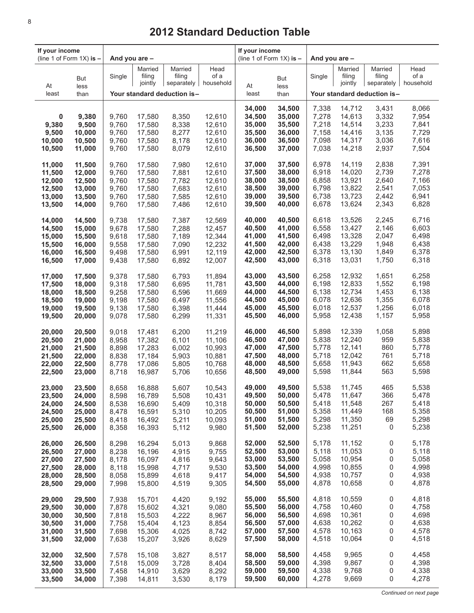| If your income<br>(line 1 of Form $1X$ ) is $-$ |                  | And you are -  |                   |                                               |                  | If your income<br>(line 1 of Form $1X$ ) is $-$ |                  | And you are -  |                   |                                             |                |
|-------------------------------------------------|------------------|----------------|-------------------|-----------------------------------------------|------------------|-------------------------------------------------|------------------|----------------|-------------------|---------------------------------------------|----------------|
|                                                 | But              | Single         | Married<br>filing | Married<br>filing                             | Head<br>of a     |                                                 | But              | Single         | Married<br>filing | Married<br>filing                           | Head<br>of a   |
| At<br>least                                     | less<br>than     |                | jointly           | separately $ $<br>Your standard deduction is- | household        | At<br>least                                     | less<br>than     |                | jointly           | separately  <br>Your standard deduction is- | household      |
|                                                 |                  |                |                   |                                               |                  |                                                 |                  |                |                   |                                             |                |
| 0                                               | 9,380            | 9,760          | 17,580            | 8,350                                         | 12,610           | 34,000<br>34,500                                | 34,500<br>35,000 | 7,338<br>7,278 | 14,712<br>14,613  | 3,431<br>3,332                              | 8,066<br>7,954 |
| 9,380                                           | 9,500            | 9,760          | 17,580            | 8,338                                         | 12,610           | 35,000                                          | 35,500           | 7,218          | 14,514            | 3,233                                       | 7,841          |
| 9,500                                           | 10,000           | 9,760          | 17,580            | 8,277                                         | 12,610           | 35,500                                          | 36,000           | 7,158          | 14,416            | 3,135                                       | 7,729          |
| 10,000<br>10,500                                | 10,500<br>11,000 | 9,760<br>9,760 | 17,580<br>17,580  | 8,178<br>8,079                                | 12,610<br>12,610 | 36,000<br>36,500                                | 36,500<br>37,000 | 7,098<br>7,038 | 14,317<br>14,218  | 3,036<br>2,937                              | 7,616<br>7,504 |
| 11,000                                          | 11,500           | 9,760          | 17,580            | 7,980                                         | 12,610           | 37,000                                          | 37,500           | 6,978          | 14,119            | 2,838                                       | 7,391          |
| 11,500                                          | 12,000           | 9,760          | 17,580            | 7,881                                         | 12,610           | 37,500                                          | 38,000           | 6,918          | 14,020            | 2,739                                       | 7,278          |
| 12,000                                          | 12,500           | 9,760          | 17,580            | 7,782                                         | 12,610           | 38,000                                          | 38,500           | 6,858          | 13,921            | 2,640                                       | 7,166          |
| 12,500<br>13,000                                | 13,000<br>13,500 | 9,760<br>9,760 | 17,580<br>17,580  | 7,683<br>7,585                                | 12,610<br>12,610 | 38,500<br>39,000                                | 39,000<br>39,500 | 6,798<br>6,738 | 13,822<br>13,723  | 2,541<br>2,442                              | 7,053<br>6,941 |
| 13,500                                          | 14,000           | 9,760          | 17,580            | 7,486                                         | 12,610           | 39,500                                          | 40,000           | 6,678          | 13,624            | 2,343                                       | 6,828          |
| 14,000                                          | 14,500           | 9.738          | 17,580            | 7,387                                         | 12,569           | 40,000                                          | 40,500           | 6,618          | 13,526            | 2,245                                       | 6,716          |
| 14,500                                          | 15,000           | 9,678          | 17,580            | 7,288                                         | 12,457           | 40,500                                          | 41,000           | 6,558          | 13,427            | 2,146                                       | 6,603          |
| 15,000                                          | 15,500           | 9,618          | 17,580            | 7,189                                         | 12,344           | 41,000                                          | 41,500           | 6,498          | 13,328            | 2,047                                       | 6,498          |
| 15,500<br>16,000                                | 16,000<br>16,500 | 9,558<br>9,498 | 17,580<br>17,580  | 7,090<br>6,991                                | 12,232<br>12,119 | 41,500<br>42,000                                | 42,000<br>42,500 | 6,438<br>6,378 | 13,229<br>13,130  | 1,948<br>1,849                              | 6,438<br>6,378 |
| 16,500                                          | 17,000           | 9,438          | 17,580            | 6,892                                         | 12,007           | 42,500                                          | 43,000           | 6,318          | 13,031            | 1,750                                       | 6,318          |
| 17,000                                          | 17,500           | 9,378          | 17,580            | 6,793                                         | 11,894           | 43,000                                          | 43,500           | 6,258          | 12,932            | 1,651                                       | 6,258          |
| 17,500                                          | 18,000           | 9,318          | 17,580            | 6,695                                         | 11,781           | 43,500                                          | 44,000           | 6,198          | 12,833            | 1,552                                       | 6,198          |
| 18,000<br>18,500                                | 18,500<br>19,000 | 9,258<br>9,198 | 17,580<br>17,580  | 6,596<br>6,497                                | 11,669<br>11,556 | 44,000<br>44,500                                | 44,500<br>45,000 | 6,138<br>6,078 | 12,734<br>12,636  | 1,453<br>1,355                              | 6,138<br>6,078 |
| 19,000                                          | 19,500           | 9,138          | 17,580            | 6,398                                         | 11,444           | 45,000                                          | 45,500           | 6,018          | 12,537            | 1,256                                       | 6,018          |
| 19,500                                          | 20,000           | 9,078          | 17,580            | 6,299                                         | 11,331           | 45,500                                          | 46,000           | 5,958          | 12,438            | 1,157                                       | 5,958          |
| 20,000                                          | 20,500           | 9,018          | 17,481            | 6,200                                         | 11,219           | 46,000                                          | 46,500           | 5,898          | 12,339            | 1,058                                       | 5,898          |
| 20,500                                          | 21,000           | 8,958          | 17,382            | 6,101                                         | 11,106           | 46,500                                          | 47,000<br>47,500 | 5,838          | 12,240            | 959<br>860                                  | 5,838<br>5,778 |
| 21,000<br>21,500                                | 21,500<br>22,000 | 8,898<br>8,838 | 17,283<br>17,184  | 6,002<br>5,903                                | 10,993<br>10,881 | 47,000<br>47,500                                | 48,000           | 5,778<br>5,718 | 12,141<br>12,042  | 761                                         | 5,718          |
| 22,000                                          | 22,500           | 8,778          | 17,086            | 5,805                                         | 10,768           | 48,000                                          | 48,500           | 5,658          | 11,943            | 662                                         | 5,658          |
| 22,500                                          | 23,000           | 8,718          | 16,987            | 5,706                                         | 10,656           | 48,500                                          | 49,000           | 5,598          | 11,844            | 563                                         | 5,598          |
| 23,000                                          | 23,500           | 8,658          | 16,888            | 5,607                                         | 10,543           | 49,000                                          | 49,500           | 5,538          | 11,745            | 465                                         | 5,538          |
| 23,500<br>24,000                                | 24,000<br>24,500 | 8,598<br>8,538 | 16,789<br>16,690  | 5,508<br>5,409                                | 10,431<br>10,318 | 49,500<br>50,000                                | 50,000<br>50,500 | 5,478<br>5,418 | 11,647<br>11,548  | 366<br>267                                  | 5,478<br>5,418 |
| 24,500                                          | 25,000           | 8,478          | 16,591            | 5,310                                         | 10,205           | 50,500                                          | 51,000           | 5,358          | 11,449            | 168                                         | 5,358          |
| 25,000                                          | 25,500           | 8,418          | 16,492            | 5,211                                         | 10,093           | 51,000                                          | 51,500           | 5,298          | 11,350            | 69                                          | 5,298          |
| 25,500                                          | 26,000           | 8,358          | 16,393            | 5,112                                         | 9,980            | 51,500                                          | 52,000           | 5,238          | 11,251            | 0                                           | 5,238          |
| 26,000                                          | 26,500           | 8,298          | 16,294            | 5,013                                         | 9,868            | 52,000                                          | 52,500           | 5,178          | 11,152            | 0                                           | 5,178          |
| 26,500<br>27,000                                | 27,000<br>27,500 | 8,238<br>8,178 | 16,196<br>16,097  | 4,915<br>4,816                                | 9,755<br>9,643   | 52,500<br>53,000                                | 53,000<br>53,500 | 5,118<br>5,058 | 11,053<br>10,954  | 0<br>0                                      | 5,118<br>5,058 |
| 27,500                                          | 28,000           | 8,118          | 15,998            | 4,717                                         | 9,530            | 53,500                                          | 54,000           | 4,998          | 10,855            | 0                                           | 4,998          |
| 28,000                                          | 28,500           | 8,058          | 15,899            | 4,618                                         | 9,417            | 54,000                                          | 54,500           | 4,938          | 10,757            | 0                                           | 4,938          |
| 28,500                                          | 29,000           | 7,998          | 15,800            | 4,519                                         | 9,305            | 54,500                                          | 55,000           | 4,878          | 10,658            | 0                                           | 4,878          |
| 29,000                                          | 29,500           | 7,938<br>7,878 | 15,701            | 4,420                                         | 9,192<br>9,080   | 55,000<br>55,500                                | 55,500<br>56,000 | 4,818<br>4,758 | 10,559<br>10,460  | 0<br>0                                      | 4,818<br>4,758 |
| 29,500<br>30,000                                | 30,000<br>30,500 | 7,818          | 15,602<br>15,503  | 4,321<br>4,222                                | 8,967            | 56,000                                          | 56,500           | 4,698          | 10,361            | 0                                           | 4,698          |
| 30,500                                          | 31,000           | 7,758          | 15,404            | 4,123                                         | 8,854            | 56,500                                          | 57,000           | 4,638          | 10,262            | 0                                           | 4,638          |
| 31,000                                          | 31,500           | 7,698          | 15,306            | 4,025                                         | 8,742            | 57,000                                          | 57,500           | 4,578          | 10,163            | 0                                           | 4,578          |
| 31,500                                          | 32,000           | 7,638          | 15,207            | 3,926                                         | 8,629            | 57,500                                          | 58,000           | 4,518          | 10,064            | 0                                           | 4,518          |
| 32,000                                          | 32,500           | 7,578          | 15,108            | 3,827                                         | 8,517            | 58,000                                          | 58,500           | 4,458          | 9,965             | 0                                           | 4,458          |
| 32,500<br>33,000                                | 33,000<br>33,500 | 7,518<br>7,458 | 15,009<br>14,910  | 3,728<br>3,629                                | 8,404<br>8,292   | 58,500<br>59,000                                | 59,000<br>59,500 | 4,398<br>4,338 | 9,867<br>9,768    | 0<br>0                                      | 4,398<br>4,338 |
| 33,500                                          | 34,000           | 7,398          | 14,811            | 3,530                                         | 8,179            | 59,500                                          | 60,000           | 4,278          | 9,669             | 0                                           | 4,278          |
|                                                 |                  |                |                   |                                               |                  |                                                 |                  |                |                   |                                             |                |

# **2012 Standard Deduction Table**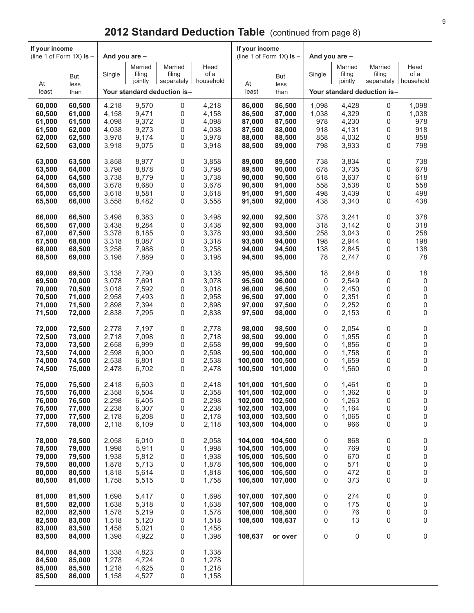| If your income<br>(line 1 of Form $1X$ ) is $-$ |                  | And you are -  |                |                             |                | If your income     | (line 1 of Form $1X$ ) is $-$ | And you are - |                |                             |                        |
|-------------------------------------------------|------------------|----------------|----------------|-----------------------------|----------------|--------------------|-------------------------------|---------------|----------------|-----------------------------|------------------------|
|                                                 |                  |                | Married        | Married                     | Head           |                    |                               |               | Married        | Married                     | Head                   |
|                                                 | But              | Single         | filing         | filing                      | of a           |                    | <b>But</b>                    | Single        | filing         | filing                      | of a                   |
| At                                              | less             |                | jointly        | separately $ $              | household      | At                 | less                          |               | jointly        |                             | separately   household |
| least                                           | than             |                |                | Your standard deduction is- |                | least              | than                          |               |                | Your standard deduction is- |                        |
| 60,000                                          | 60,500           | 4,218          | 9,570          | 0                           | 4,218          | 86,000             | 86,500                        | 1,098         | 4,428          | 0                           | 1,098                  |
| 60,500                                          | 61,000           | 4,158          | 9,471          | 0                           | 4,158          | 86,500             | 87,000                        | 1,038         | 4,329          | 0                           | 1,038                  |
| 61,000                                          | 61,500           | 4,098          | 9,372          | 0                           | 4,098          | 87,000             | 87,500                        | 978           | 4,230          | 0                           | 978                    |
| 61,500                                          | 62,000           | 4,038          | 9,273          | 0                           | 4,038          | 87,500             | 88,000                        | 918           | 4,131          | 0                           | 918                    |
| 62,000<br>62,500                                | 62,500<br>63,000 | 3,978<br>3,918 | 9,174<br>9,075 | 0<br>0                      | 3,978<br>3,918 | 88,000<br>88,500   | 88,500<br>89,000              | 858<br>798    | 4,032<br>3,933 | 0<br>0                      | 858<br>798             |
|                                                 |                  |                |                |                             |                |                    |                               |               |                |                             |                        |
| 63,000                                          | 63,500           | 3,858          | 8,977          | 0                           | 3,858          | 89,000             | 89,500                        | 738           | 3,834          | 0                           | 738                    |
| 63,500                                          | 64,000           | 3,798          | 8,878          | 0                           | 3,798          | 89,500             | 90,000                        | 678           | 3,735          | 0                           | 678                    |
| 64,000                                          | 64,500           | 3,738          | 8,779          | 0                           | 3,738          | 90,000             | 90,500                        | 618           | 3,637          | 0                           | 618                    |
| 64,500                                          | 65,000           | 3,678          | 8,680          | 0                           | 3,678          | 90,500             | 91,000                        | 558           | 3,538          | 0                           | 558                    |
| 65,000<br>65,500                                | 65,500<br>66,000 | 3,618<br>3,558 | 8,581<br>8,482 | 0<br>0                      | 3,618<br>3,558 | 91,000<br>91,500   | 91,500<br>92,000              | 498<br>438    | 3,439<br>3,340 | 0<br>0                      | 498<br>438             |
|                                                 |                  |                |                |                             |                |                    |                               |               |                |                             |                        |
| 66,000                                          | 66,500           | 3,498          | 8,383          | 0                           | 3,498          | 92,000             | 92,500                        | 378           | 3,241          | 0                           | 378                    |
| 66,500                                          | 67,000           | 3,438          | 8,284          | 0                           | 3,438          | 92,500             | 93,000                        | 318           | 3,142          | 0                           | 318                    |
| 67,000<br>67,500                                | 67,500<br>68,000 | 3,378<br>3,318 | 8,185<br>8,087 | 0<br>0                      | 3,378<br>3,318 | 93,000<br>93,500   | 93,500<br>94,000              | 258<br>198    | 3,043<br>2,944 | 0<br>0                      | 258<br>198             |
| 68,000                                          | 68,500           | 3,258          | 7,988          | 0                           | 3,258          | 94,000             | 94,500                        | 138           | 2,845          | 0                           | 138                    |
| 68,500                                          | 69,000           | 3,198          | 7,889          | 0                           | 3,198          | 94,500             | 95,000                        | 78            | 2,747          | 0                           | 78                     |
|                                                 |                  |                |                |                             |                |                    |                               |               |                |                             |                        |
| 69,000<br>69,500                                | 69,500<br>70,000 | 3,138<br>3,078 | 7,790<br>7,691 | 0<br>0                      | 3,138<br>3,078 | 95,000<br>95,500   | 95,500<br>96,000              | 18<br>0       | 2,648<br>2,549 | 0<br>0                      | 18<br>0                |
| 70,000                                          | 70,500           | 3,018          | 7,592          | 0                           | 3,018          | 96,000             | 96,500                        | 0             | 2,450          | 0                           | 0                      |
| 70,500                                          | 71,000           | 2,958          | 7,493          | 0                           | 2,958          | 96,500             | 97,000                        | 0             | 2,351          | 0                           | 0                      |
| 71,000                                          | 71,500           | 2,898          | 7,394          | 0                           | 2,898          | 97,000             | 97,500                        | 0             | 2,252          | 0                           | 0                      |
| 71,500                                          | 72,000           | 2,838          | 7,295          | 0                           | 2,838          | 97,500             | 98,000                        | 0             | 2,153          | 0                           | 0                      |
| 72,000                                          | 72,500           | 2,778          | 7,197          | 0                           | 2,778          | 98,000             | 98,500                        | 0             | 2,054          | 0                           | 0                      |
| 72,500                                          | 73,000           | 2,718          | 7,098          | 0                           | 2,718          | 98,500             | 99,000                        | 0             | 1,955          | 0                           | 0                      |
| 73,000                                          | 73,500           | 2,658          | 6,999          | 0                           | 2,658          | 99,000             | 99,500                        | 0             | 1,856          | 0                           | 0                      |
| 73,500                                          | 74,000           | 2,598          | 6,900          | 0                           | 2,598          | 99,500             | 100,000                       | 0             | 1,758          | 0                           | 0                      |
| 74,000<br>74,500                                | 74,500<br>75,000 | 2,538<br>2,478 | 6,801<br>6,702 | 0<br>0                      | 2,538<br>2,478 | 100,000<br>100,500 | 100,500<br>101,000            | 0<br>0        | 1,659<br>1,560 | 0<br>0                      | 0<br>0                 |
|                                                 |                  |                |                |                             |                |                    |                               |               |                |                             |                        |
| 75,000                                          | 75,500           | 2,418          | 6,603          | 0                           | 2,418          | 101,000            | 101,500                       | 0             | 1,461          | 0                           | 0                      |
| 75,500<br>76,000                                | 76,000<br>76,500 | 2,358<br>2,298 | 6,504<br>6,405 | 0<br>0                      | 2,358<br>2,298 | 101,500<br>102,000 | 102,000<br>102,500            | 0<br>0        | 1,362<br>1,263 | 0<br>0                      | 0<br>0                 |
| 76,500                                          | 77,000           | 2,238          | 6,307          | 0                           | 2,238          | 102,500            | 103,000                       | 0             | 1,164          | 0                           | 0                      |
| 77,000                                          | 77,500           | 2,178          | 6,208          | 0                           | 2,178          | 103,000            | 103,500                       | 0             | 1,065          | 0                           | 0                      |
| 77,500                                          | 78,000           | 2,118          | 6,109          | 0                           | 2,118          | 103,500            | 104,000                       | 0             | 966            | 0                           | 0                      |
| 78,000                                          | 78,500           | 2,058          | 6,010          | 0                           | 2,058          | 104.000            | 104,500                       | 0             | 868            | 0                           | 0                      |
| 78,500                                          | 79,000           | 1,998          | 5,911          | 0                           | 1,998          | 104,500            | 105,000                       | 0             | 769            | 0                           | 0                      |
| 79,000                                          | 79,500           | 1,938          | 5,812          | 0                           | 1,938          | 105,000            | 105,500                       | 0             | 670            | 0                           | 0                      |
| 79,500                                          | 80,000           | 1,878          | 5,713          | 0                           | 1,878          | 105,500            | 106,000                       | 0             | 571            | 0                           | 0                      |
| 80,000                                          | 80,500           | 1,818          | 5,614          | 0                           | 1,818          | 106,000            | 106,500                       | 0             | 472            | 0                           | 0                      |
| 80,500                                          | 81,000           | 1,758          | 5,515          | 0                           | 1,758          | 106,500            | 107,000                       | 0             | 373            | 0                           | 0                      |
| 81,000                                          | 81,500           | 1,698          | 5,417          | 0                           | 1,698          | 107,000            | 107,500                       | 0             | 274            | 0                           | 0                      |
| 81,500                                          | 82,000           | 1,638          | 5,318          | 0                           | 1,638          | 107,500            | 108,000                       | 0             | 175            | 0                           | 0                      |
| 82,000                                          | 82,500           | 1,578          | 5,219          | 0                           | 1,578          | 108,000            | 108,500                       | 0             | 76             | 0                           | 0                      |
| 82,500<br>83,000                                | 83,000<br>83,500 | 1,518<br>1,458 | 5,120<br>5,021 | 0<br>0                      | 1,518<br>1,458 | 108,500            | 108,637                       | 0             | 13             | 0                           | 0                      |
| 83,500                                          | 84,000           | 1,398          | 4,922          | 0                           | 1,398          | 108,637            | or over                       | 0             | 0              | 0                           | 0                      |
|                                                 |                  |                |                |                             |                |                    |                               |               |                |                             |                        |
| 84,000                                          | 84,500           | 1,338          | 4,823          | 0                           | 1,338          |                    |                               |               |                |                             |                        |
| 84,500<br>85,000                                | 85,000<br>85,500 | 1,278<br>1,218 | 4,724<br>4,625 | 0<br>0                      | 1,278<br>1,218 |                    |                               |               |                |                             |                        |
| 85,500                                          | 86,000           | 1,158          | 4,527          | 0                           | 1,158          |                    |                               |               |                |                             |                        |
|                                                 |                  |                |                |                             |                |                    |                               |               |                |                             |                        |

# **2012 Standard Deduction Table** (continued from page 8)

 $\mathbf{r}$ 

 $\top$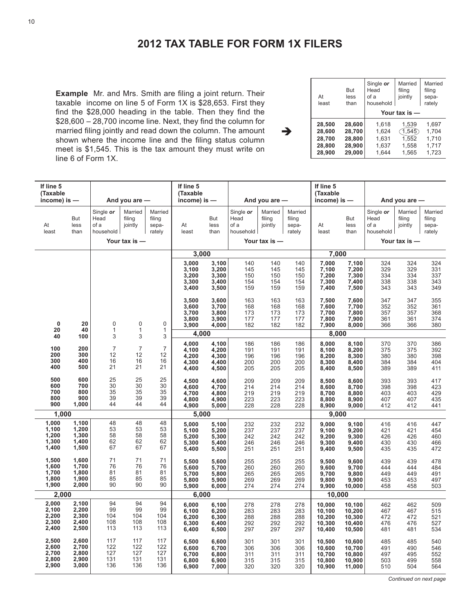# **2012 TAX TABLE FOR FORM 1X FILERS**

è

**Example** Mr. and Mrs. Smith are filing a joint return. Their taxable income on line 5 of Form 1X is \$28,653. First they find the \$28,000 heading in the table. Then they find the \$28,600 – 28,700 income line. Next, they find the column for married filing jointly and read down the column. The amount shown where the income line and the filing status column meet is \$1,545. This is the tax amount they must write on line 6 of Form 1X.

| At<br>least | But<br>less<br>than | Single or<br>Head<br>of a<br>household | Married<br>filing<br>jointly<br>Your tax is $-$ | Married<br>filing<br>sepa-<br>rately |
|-------------|---------------------|----------------------------------------|-------------------------------------------------|--------------------------------------|
| 28.500      | 28.600              | 1,618                                  | 1,539                                           | 1,697                                |
| 28.600      | 28,700              | 1,624                                  | (1, 545)                                        | 1,704                                |
| 28.700      | 28,800              | 1.631                                  | 1.552                                           | 1.710                                |
| 28,800      | 28.900              | 1,637                                  | 1,558                                           | 1.717                                |
| 28,900      | 29,000              | 1,644                                  | 1,565                                           | 1,723                                |

| If line 5<br>(Taxable<br>income) is -     |                                           |                                        | And you are $-$                               |                                      | If line 5<br>(Taxable<br>$income$ ) is $-$ |                                           |                                        | And you are $-$                               |                                      | If line 5<br>(Taxable<br>$income$ ) is $-$     |                                                |                                        | And you are $-$                               |                                      |
|-------------------------------------------|-------------------------------------------|----------------------------------------|-----------------------------------------------|--------------------------------------|--------------------------------------------|-------------------------------------------|----------------------------------------|-----------------------------------------------|--------------------------------------|------------------------------------------------|------------------------------------------------|----------------------------------------|-----------------------------------------------|--------------------------------------|
| At<br>least                               | But<br>less<br>than                       | Single or<br>Head<br>of a<br>household | Married<br>filing<br>jointly<br>Your tax is - | Married<br>filing<br>sepa-<br>rately | At<br>least                                | But<br>less<br>than                       | Single or<br>Head<br>of a<br>household | Married<br>filing<br>jointly<br>Your tax is - | Married<br>filing<br>sepa-<br>rately | At<br>least                                    | But<br>less<br>than                            | Single or<br>Head<br>of a<br>household | Married<br>filing<br>jointly<br>Your tax is - | Married<br>filing<br>sepa-<br>rately |
|                                           |                                           |                                        |                                               |                                      |                                            | 3,000                                     |                                        |                                               |                                      | 7,000                                          |                                                |                                        |                                               |                                      |
|                                           |                                           |                                        |                                               |                                      | 3,000<br>3,100<br>3,200<br>3,300<br>3,400  | 3,100<br>3,200<br>3,300<br>3,400<br>3,500 | 140<br>145<br>150<br>154<br>159        | 140<br>145<br>150<br>154<br>159               | 140<br>145<br>150<br>154<br>159      | 7,000<br>7,100<br>7,200<br>7,300<br>7,400      | 7,100<br>7,200<br>7,300<br>7,400<br>7,500      | 324<br>329<br>334<br>338<br>343        | 324<br>329<br>334<br>338<br>343               | 324<br>331<br>337<br>343<br>349      |
| $\mathbf 0$<br>20                         | 20<br>40                                  | $\mathbf 0$<br>$\mathbf{1}$            | 0<br>$\mathbf{1}$                             | $\mathbf 0$<br>$\mathbf{1}$          | 3,500<br>3,600<br>3,700<br>3,800<br>3,900  | 3,600<br>3,700<br>3,800<br>3,900<br>4,000 | 163<br>168<br>173<br>177<br>182        | 163<br>168<br>173<br>177<br>182               | 163<br>168<br>173<br>177<br>182      | 7,500<br>7,600<br>7,700<br>7,800<br>7,900      | 7,600<br>7,700<br>7,800<br>7,900<br>8,000      | 347<br>352<br>357<br>361<br>366        | 347<br>352<br>357<br>361<br>366               | 355<br>361<br>368<br>374<br>380      |
| 40                                        | 100                                       | 3                                      | 3                                             | 3                                    |                                            | 4,000                                     |                                        |                                               |                                      | 8,000                                          |                                                |                                        |                                               |                                      |
| 100<br>200<br>300<br>400                  | 200<br>300<br>400<br>500                  | $\overline{7}$<br>12<br>16<br>21       | $\overline{7}$<br>12<br>16<br>21              | $\overline{7}$<br>12<br>16<br>21     | 4,000<br>4,100<br>4.200<br>4,300<br>4,400  | 4,100<br>4,200<br>4,300<br>4,400<br>4,500 | 186<br>191<br>196<br>200<br>205        | 186<br>191<br>196<br>200<br>205               | 186<br>191<br>196<br>200<br>205      | 8,000<br>8,100<br>8,200<br>8,300<br>8,400      | 8,100<br>8,200<br>8,300<br>8,400<br>8,500      | 370<br>375<br>380<br>384<br>389        | 370<br>375<br>380<br>384<br>389               | 386<br>392<br>398<br>404<br>411      |
| 500<br>600<br>700<br>800<br>900           | 600<br>700<br>800<br>900<br>1,000         | 25<br>30<br>35<br>39<br>44             | 25<br>30<br>35<br>39<br>44                    | 25<br>30<br>35<br>39<br>44           | 4,500<br>4,600<br>4,700<br>4,800<br>4,900  | 4,600<br>4,700<br>4,800<br>4,900<br>5,000 | 209<br>214<br>219<br>223<br>228        | 209<br>214<br>219<br>223<br>228               | 209<br>214<br>219<br>223<br>228      | 8,500<br>8,600<br>8,700<br>8,800<br>8,900      | 8,600<br>8,700<br>8,800<br>8,900<br>9,000      | 393<br>398<br>403<br>407<br>412        | 393<br>398<br>403<br>407<br>412               | 417<br>423<br>429<br>435<br>441      |
| 1,000                                     |                                           |                                        |                                               |                                      |                                            | 5,000                                     |                                        |                                               |                                      | 9,000                                          |                                                |                                        |                                               |                                      |
| 1,000<br>1,100<br>1,200<br>1,300<br>1,400 | 1,100<br>1,200<br>1,300<br>1,400<br>1,500 | 48<br>53<br>58<br>62<br>67             | 48<br>53<br>58<br>62<br>67                    | 48<br>53<br>58<br>62<br>67           | 5,000<br>5,100<br>5,200<br>5,300<br>5,400  | 5,100<br>5,200<br>5,300<br>5,400<br>5,500 | 232<br>237<br>242<br>246<br>251        | 232<br>237<br>242<br>246<br>251               | 232<br>237<br>242<br>246<br>251      | 9,000<br>9,100<br>9,200<br>9,300<br>9,400      | 9,100<br>9,200<br>9,300<br>9,400<br>9,500      | 416<br>421<br>426<br>430<br>435        | 416<br>421<br>426<br>430<br>435               | 447<br>454<br>460<br>466<br>472      |
| 1,500<br>1,600<br>1,700<br>1,800<br>1,900 | 1,600<br>1,700<br>1,800<br>1,900<br>2,000 | 71<br>76<br>81<br>85<br>90             | 71<br>76<br>81<br>85<br>90                    | 71<br>76<br>81<br>85<br>90           | 5,500<br>5.600<br>5,700<br>5,800<br>5,900  | 5,600<br>5,700<br>5,800<br>5,900<br>6,000 | 255<br>260<br>265<br>269<br>274        | 255<br>260<br>265<br>269<br>274               | 255<br>260<br>265<br>269<br>274      | 9,500<br>9,600<br>9,700<br>9,800<br>9,900      | 9,600<br>9.700<br>9,800<br>9,900<br>10,000     | 439<br>444<br>449<br>453<br>458        | 439<br>444<br>449<br>453<br>458               | 478<br>484<br>491<br>497<br>503      |
| 2,000                                     |                                           |                                        |                                               |                                      |                                            | 6,000                                     |                                        |                                               |                                      | 10,000                                         |                                                |                                        |                                               |                                      |
| 2,000<br>2,100<br>2,200<br>2,300<br>2,400 | 2,100<br>2,200<br>2,300<br>2,400<br>2,500 | 94<br>99<br>104<br>108<br>113          | 94<br>99<br>104<br>108<br>113                 | 94<br>99<br>104<br>108<br>113        | 6,000<br>6,100<br>6,200<br>6,300<br>6,400  | 6,100<br>6,200<br>6,300<br>6,400<br>6,500 | 278<br>283<br>288<br>292<br>297        | 278<br>283<br>288<br>292<br>297               | 278<br>283<br>288<br>292<br>297      | 10,000<br>10,100<br>10,200<br>10,300<br>10,400 | 10,100<br>10,200<br>10,300<br>10,400<br>10,500 | 462<br>467<br>472<br>476<br>481        | 462<br>467<br>472<br>476<br>481               | 509<br>515<br>521<br>527<br>534      |
| 2,500<br>2,600<br>2,700<br>2,800<br>2,900 | 2,600<br>2,700<br>2,800<br>2,900<br>3,000 | 117<br>122<br>127<br>131<br>136        | 117<br>122<br>127<br>131<br>136               | 117<br>122<br>127<br>131<br>136      | 6,500<br>6,600<br>6,700<br>6,800<br>6,900  | 6,600<br>6,700<br>6,800<br>6,900<br>7,000 | 301<br>306<br>311<br>315<br>320        | 301<br>306<br>311<br>315<br>320               | 301<br>306<br>311<br>315<br>320      | 10,500<br>10,600<br>10,700<br>10,800<br>10,900 | 10,600<br>10,700<br>10,800<br>10,900<br>11,000 | 485<br>491<br>497<br>503<br>510        | 485<br>490<br>495<br>499<br>504               | 540<br>546<br>552<br>558<br>564      |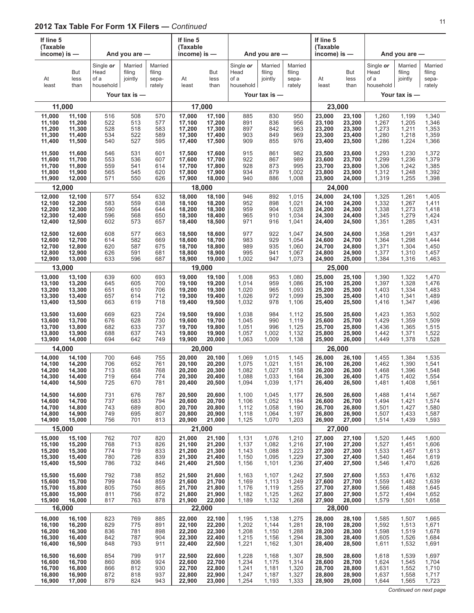| If line 5<br>(Taxable<br>income) is —<br>But   |                                                          |                                        | And you are -                                 |                                      | If line 5<br>(Taxable<br>income) is $-$                  |                                                |                                           | And you are -                                 |                                           | If line 5<br>(Taxable<br>income) is $-$        |                                                          |                                           | And you are $-$                               |                                           |
|------------------------------------------------|----------------------------------------------------------|----------------------------------------|-----------------------------------------------|--------------------------------------|----------------------------------------------------------|------------------------------------------------|-------------------------------------------|-----------------------------------------------|-------------------------------------------|------------------------------------------------|----------------------------------------------------------|-------------------------------------------|-----------------------------------------------|-------------------------------------------|
| At<br>least                                    | less<br>than                                             | Single or<br>Head<br>of a<br>household | Married<br>filing<br>jointly<br>Your tax is - | Married<br>filing<br>sepa-<br>rately | At<br>least                                              | But<br>less<br>than                            | Single or<br>Head<br>of a<br>household    | Married<br>filing<br>jointly<br>Your tax is - | Married<br>filing<br>sepa-<br>rately      | At<br>least                                    | But<br>less<br>than                                      | Single or<br>Head<br>of a<br>household    | Married<br>filing<br>jointly<br>Your tax is - | Married<br>filing<br>sepa-<br>rately      |
|                                                |                                                          |                                        |                                               |                                      |                                                          |                                                |                                           |                                               |                                           |                                                |                                                          |                                           |                                               |                                           |
| 11,000                                         | 11,000<br>11,100                                         | 516                                    | 508                                           | 570                                  | 17,000                                                   | 17,000<br>17,100                               | 885                                       | 830                                           | 950                                       | 23,000                                         | 23,000<br>23,100                                         | 1,260                                     | 1,199                                         | 1,340                                     |
| 11,100<br>11,200<br>11,300<br>11,400           | 11,200<br>11,300<br>11,400<br>11,500                     | 522<br>528<br>534<br>540               | 513<br>518<br>522<br>527                      | 577<br>583<br>589<br>595             | 17,100<br>17,200<br>17,300<br>17,400                     | 17,200<br>17,300<br>17,400<br>17,500           | 891<br>897<br>903<br>909                  | 836<br>842<br>849<br>855                      | 956<br>963<br>969<br>976                  | 23,100<br>23,200<br>23,300<br>23,400           | 23,200<br>23,300<br>23,400<br>23,500                     | 1,267<br>1,273<br>1,280<br>1,286          | 1,205<br>1,211<br>1,218<br>1,224              | 1,346<br>1,353<br>1,359<br>1,366          |
| 11,500<br>11,600<br>11,700<br>11,800<br>11,900 | 11,600<br>11,700<br>11,800<br>11,900<br>12,000           | 546<br>553<br>559<br>565<br>571        | 531<br>536<br>541<br>545<br>550               | 601<br>607<br>614<br>620<br>626      | 17,500<br>17,600<br>17,700<br>17,800<br>17,900           | 17,600<br>17,700<br>17,800<br>17,900<br>18,000 | 915<br>922<br>928<br>934<br>940           | 861<br>867<br>873<br>879<br>886               | 982<br>989<br>995<br>1,002<br>1,008       | 23,500<br>23,600<br>23,700<br>23,800<br>23,900 | 23,600<br>23,700<br>23,800<br>23,900<br>24,000           | 1,293<br>1,299<br>1,306<br>1,312<br>1,319 | 1,230<br>1,236<br>1,242<br>1,248<br>1,255     | 1,372<br>1,379<br>1,385<br>1,392<br>1,398 |
|                                                | 12,000                                                   |                                        |                                               |                                      |                                                          | 18,000                                         |                                           |                                               |                                           |                                                | 24,000                                                   |                                           |                                               |                                           |
| 12,000<br>12,100<br>12,200<br>12,300<br>12,400 | 12,100<br>12,200<br>12,300<br>12,400<br>12,500           | 577<br>583<br>590<br>596<br>602        | 554<br>559<br>564<br>568<br>573               | 632<br>638<br>644<br>650<br>657      | 18,000<br>18,100<br>18,200<br>18,300<br>18,400           | 18,100<br>18,200<br>18,300<br>18,400<br>18,500 | 946<br>952<br>959<br>965<br>971           | 892<br>898<br>904<br>910<br>916               | 1,015<br>1,021<br>1,028<br>1,034<br>1,041 | 24,000<br>24,100<br>24,200<br>24,300<br>24,400 | 24,100<br>24,200<br>24,300<br>24,400<br>24,500           | 1,325<br>1,332<br>1,338<br>1,345<br>1,351 | 1,261<br>1,267<br>1,273<br>1,279<br>1,285     | 1,405<br>1,411<br>1,418<br>1,424<br>1,431 |
| 12,500<br>12,600<br>12,700<br>12,800<br>12,900 | 12,600<br>12,700<br>12,800<br>12,900<br>13,000           | 608<br>614<br>620<br>626<br>633        | 577<br>582<br>587<br>591<br>596               | 663<br>669<br>675<br>681<br>687      | 18,500<br>18,600<br>18,700<br>18,800<br>18,900           | 18,600<br>18,700<br>18,800<br>18,900<br>19,000 | 977<br>983<br>989<br>995<br>1,002         | 922<br>929<br>935<br>941<br>947               | 1,047<br>1,054<br>1,060<br>1,067<br>1,073 | 24,500<br>24,600<br>24,700<br>24,800<br>24,900 | 24,600<br>24,700<br>24,800<br>24,900<br>25,000           | 1,358<br>1,364<br>1,371<br>1,377<br>1,384 | 1,291<br>1,298<br>1,304<br>1,310<br>1,316     | 1,437<br>1,444<br>1,450<br>1,457<br>1,463 |
|                                                | 13,000                                                   |                                        |                                               |                                      |                                                          | 19,000                                         |                                           |                                               |                                           |                                                | 25,000                                                   |                                           |                                               |                                           |
| 13,000<br>13,100<br>13,200<br>13,300<br>13,400 | 13,100<br>13,200<br>13,300<br>13,400<br>13,500           | 639<br>645<br>651<br>657<br>663        | 600<br>605<br>610<br>614<br>619               | 693<br>700<br>706<br>712<br>718      | 19,000<br>19,100<br>19,200<br>19,300<br>19,400           | 19,100<br>19,200<br>19,300<br>19,400<br>19,500 | 1,008<br>1,014<br>1,020<br>1,026<br>1,032 | 953<br>959<br>965<br>972<br>978               | 1,080<br>1,086<br>1,093<br>1,099<br>1,106 | 25,000<br>25,100<br>25,200<br>25,300<br>25,400 | 25,100<br>25,200<br>25,300<br>25,400<br>25,500           | 1,390<br>1,397<br>1,403<br>1,410<br>1,416 | 1,322<br>1,328<br>1,334<br>1,341<br>1,347     | 1,470<br>1,476<br>1,483<br>1,489<br>1,496 |
| 13,500<br>13,600<br>13,700<br>13,800<br>13,900 | 13,600<br>13,700<br>13,800<br>13,900<br>14,000           | 669<br>676<br>682<br>688<br>694        | 623<br>628<br>633<br>637<br>642               | 724<br>730<br>737<br>743<br>749      | 19,500<br>19,600<br>19,700<br>19,800<br>19,900           | 19,600<br>19,700<br>19,800<br>19,900<br>20,000 | 1,038<br>1,045<br>1,051<br>1,057<br>1,063 | 984<br>990<br>996<br>1,002<br>1,009           | 1,112<br>1,119<br>1,125<br>1,132<br>1,138 | 25,500<br>25,600<br>25,700<br>25,800<br>25,900 | 25,600<br>25,700<br>25,800<br>25,900<br>26,000           | 1,423<br>1,429<br>1,436<br>1,442<br>1,449 | 1,353<br>1,359<br>1,365<br>1,371<br>1,378     | 1,502<br>1,509<br>1,515<br>1,522<br>1,528 |
|                                                | 14,000                                                   |                                        |                                               |                                      | 20,000                                                   |                                                |                                           |                                               |                                           |                                                | 26,000                                                   |                                           |                                               |                                           |
| 14,000<br>14,100<br>14,200<br>14,300<br>14,400 | 14,100<br>14,200<br>14,300<br>14,400<br>14,500           | 700<br>706<br>713<br>719<br>725        | 646<br>652<br>658<br>664<br>670               | 755<br>761<br>768<br>774<br>781      | 20,000<br>20,100<br>20,200<br>20,300<br>20,400           | 20,100<br>20,200<br>20,300<br>20,400<br>20,500 | 1,069<br>1,075<br>1,082<br>1,088<br>1,094 | 1,015<br>1,021<br>1,027<br>1,033<br>1,039     | 1,145<br>1,151<br>1,158<br>1,164<br>1,171 | 26,000<br>26,100<br>26,200<br>26,300<br>26,400 | 26,100<br>26,200<br>26,300<br>26,400<br>26,500           | 1,455<br>1,462<br>1,468<br>1,475<br>1,481 | 1,384<br>1,390<br>1,396<br>1,402<br>1,408     | 1,535<br>1,541<br>1,548<br>1,554<br>1,561 |
| 14,500<br>14,600<br>14,700<br>14,800<br>14,900 | 14,600<br>14,700<br>14,800<br>14,900<br>15,000           | 731<br>737<br>743<br>749<br>756        | 676<br>683<br>689<br>695<br>701               | 787<br>794<br>800<br>807<br>813      | 20,500<br>20,600<br>20,700<br>20,800<br>20,900           | 20,600<br>20,700<br>20,800<br>20,900<br>21,000 | 1,100<br>1,106<br>1,112<br>1,118<br>1,125 | 1,045<br>1,052<br>1,058<br>1,064<br>1,070     | 1,177<br>1,184<br>1,190<br>1,197<br>1,203 | 26,500<br>26,600<br>26,700<br>26,800<br>26,900 | 26,600<br>26,700<br>26,800<br>26,900<br>27,000           | 1,488<br>1,494<br>1,501<br>1,507<br>1,514 | 1,414<br>1,421<br>1,427<br>1,433<br>1,439     | 1,567<br>1,574<br>1,580<br>1,587<br>1,593 |
|                                                | 15.000                                                   |                                        |                                               |                                      | 21,000<br>21,000                                         | 21,100                                         |                                           |                                               |                                           | 27,000                                         | 27,000<br>27,100                                         |                                           |                                               |                                           |
| 15,000<br>15,100<br>15,200<br>15,300<br>15,400 | 15,100<br>15,200<br>15,300<br>15,400<br>15,500           | 762<br>768<br>774<br>780<br>786        | 707<br>713<br>719<br>726<br>732               | 820<br>826<br>833<br>839<br>846      | 21,100<br>21,200<br>21,300<br>21,400                     | 21,200<br>21,300<br>21,400<br>21,500           | 1,131<br>1,137<br>1,143<br>1,150<br>1,156 | 1,076<br>1,082<br>1,088<br>1,095<br>1,101     | 1,210<br>1,216<br>1,223<br>1,229<br>1,236 | 27,100<br>27,200<br>27,300<br>27,400           | 27,200<br>27,300<br>27,400<br>27,500                     | 1,520<br>1,527<br>1,533<br>1,540<br>1,546 | 1,445<br>1,451<br>1,457<br>1,464<br>1,470     | 1,600<br>1,606<br>1,613<br>1,619<br>1,626 |
| 15,500<br>15,600<br>15,700<br>15,800<br>15,900 | 15,600<br>15,700<br>15,800<br>15,900<br>16,000<br>16,000 | 792<br>799<br>805<br>811<br>817        | 738<br>744<br>750<br>756<br>763               | 852<br>859<br>865<br>872<br>878      | 21,500<br>21,600<br>21,700<br>21,800<br>21,900<br>22,000 | 21,600<br>21,700<br>21,800<br>21,900<br>22,000 | 1,163<br>1,169<br>1,176<br>1,182<br>1,189 | 1,107<br>1,113<br>1,119<br>1,125<br>1,132     | 1,242<br>1,249<br>1,255<br>1,262<br>1,268 | 27,500<br>27,600<br>27,700<br>27,800<br>27,900 | 27,600<br>27,700<br>27,800<br>27,900<br>28,000<br>28,000 | 1,553<br>1,559<br>1,566<br>1,572<br>1,579 | 1,476<br>1,482<br>1,488<br>1,494<br>1,501     | 1,632<br>1,639<br>1,645<br>1,652<br>1,658 |
| 16,000                                         | 16,100                                                   | 823                                    | 769                                           | 885                                  | 22,000                                                   | 22,100                                         | 1,195                                     | 1,138                                         | 1,275                                     | 28,000                                         | 28,100                                                   | 1,585                                     | 1,507                                         | 1,665                                     |
| 16,100<br>16,200<br>16,300<br>16,400           | 16,200<br>16,300<br>16,400<br>16,500                     | 829<br>836<br>842<br>848               | 775<br>781<br>787<br>793                      | 891<br>898<br>904<br>911             | 22,100<br>22,200<br>22,300<br>22,400                     | 22,200<br>22,300<br>22,400<br>22,500           | 1,202<br>1,208<br>1,215<br>1,221          | 1,144<br>1,150<br>1,156<br>1,162              | 1,281<br>1,288<br>1,294<br>1,301          | 28,100<br>28,200<br>28,300<br>28,400           | 28,200<br>28,300<br>28,400<br>28,500                     | 1,592<br>1,598<br>1,605<br>1,611          | 1,513<br>1,519<br>1,526<br>1,532              | 1,671<br>1,678<br>1,684<br>1,691          |
| 16,500<br>16,600<br>16,700<br>16,800<br>16,900 | 16,600<br>16,700<br>16,800<br>16,900<br>17,000           | 854<br>860<br>866<br>872<br>879        | 799<br>806<br>812<br>818<br>824               | 917<br>924<br>930<br>937<br>943      | 22,500<br>22,600<br>22,700<br>22,800<br>22,900           | 22,600<br>22,700<br>22,800<br>22,900<br>23,000 | 1,228<br>1,234<br>1,241<br>1,247<br>1,254 | 1,168<br>1,175<br>1,181<br>1,187<br>1,193     | 1,307<br>1,314<br>1,320<br>1,327<br>1,333 | 28,500<br>28,600<br>28,700<br>28,800<br>28,900 | 28,600<br>28,700<br>28,800<br>28,900<br>29,000           | 1,618<br>1,624<br>1,631<br>1,637<br>1,644 | 1,539<br>1,545<br>1,552<br>1,558<br>1,565     | 1,697<br>1,704<br>1,710<br>1,717<br>1,723 |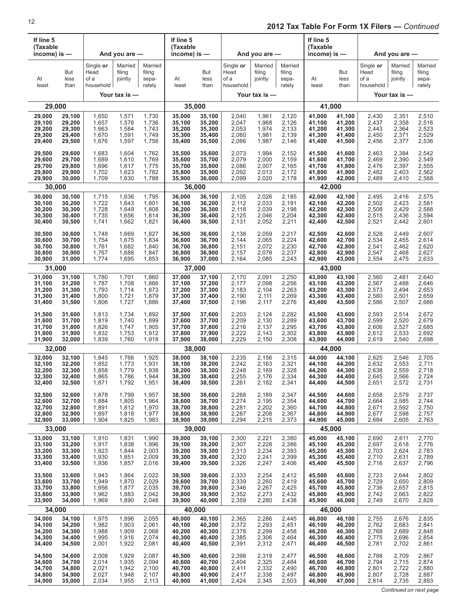| If line 5<br>(Taxable<br>income) is $-$ |                     | And you are $-$<br>Single or<br>Married<br>Head<br>filing |               |                                      | If line 5<br>(Taxable<br>income) is $-$ |                     |                                        | And you are $-$              |                                      | If line 5<br>(Taxable<br>income) is $-$ |                     |                                        | And you are $-$              |                                      |
|-----------------------------------------|---------------------|-----------------------------------------------------------|---------------|--------------------------------------|-----------------------------------------|---------------------|----------------------------------------|------------------------------|--------------------------------------|-----------------------------------------|---------------------|----------------------------------------|------------------------------|--------------------------------------|
| At<br>least                             | But<br>less<br>than | of a<br>household                                         | jointly       | Married<br>filing<br>sepa-<br>rately | At<br>least                             | But<br>less<br>than | Single or<br>Head<br>of a<br>household | Married<br>filing<br>jointly | Married<br>filing<br>sepa-<br>rately | At<br>least                             | But<br>less<br>than | Single or<br>Head<br>of a<br>household | Married<br>filing<br>jointly | Married<br>filing<br>sepa-<br>rately |
|                                         |                     |                                                           | Your tax is - |                                      |                                         |                     |                                        | Your tax is -                |                                      |                                         |                     |                                        | Your tax is $-$              |                                      |
| 29,000                                  |                     |                                                           |               |                                      | 35,000                                  |                     |                                        |                              |                                      |                                         | 41,000              |                                        |                              |                                      |
| 29,000                                  | 29,100              | 1,650                                                     | 1,571         | 1,730                                | 35,000                                  | 35,100              | 2,040                                  | 1,961                        | 2,120                                | 41,000                                  | 41,100              | 2,430                                  | 2,351                        | 2,510                                |
| 29,100                                  | 29,200              | 1,657                                                     | 1,578         | 1,736                                | 35,100                                  | 35,200              | 2,047                                  | 1,968                        | 2,126                                | 41,100                                  | 41,200              | 2,437                                  | 2,358                        | 2,516                                |
| 29,200                                  | 29,300              | 1,663                                                     | 1,584         | 1,743                                | 35,200                                  | 35,300              | 2,053                                  | 1,974                        | 2,133                                | 41,200                                  | 41,300              | 2,443                                  | 2,364                        | 2,523                                |
| 29,300                                  | 29,400              | 1,670                                                     | 1,591         | 1,749                                | 35,300                                  | 35,400              | 2,060                                  | 1,981                        | 2,139                                | 41,300                                  | 41,400              | 2,450                                  | 2,371                        | 2,529                                |
| 29,400                                  | 29,500              | 1,676                                                     | 1,597         | 1,756                                | 35,400                                  | 35,500              | 2,066                                  | 1,987                        | 2,146                                | 41,400                                  | 41,500              | 2,456                                  | 2,377                        | 2,536                                |
| 29,500                                  | 29,600              | 1,683                                                     | 1,604         | 1,762                                | 35,500                                  | 35,600              | 2,073                                  | 1,994                        | 2,152                                | 41,500                                  | 41,600              | 2,463                                  | 2,384                        | 2,542                                |
| 29,600                                  | 29,700              | 1,689                                                     | 1,610         | 1,769                                | 35,600                                  | 35,700              | 2,079                                  | 2,000                        | 2,159                                | 41,600                                  | 41,700              | 2,469                                  | 2,390                        | 2,549                                |
| 29,700                                  | 29,800              | 1,696                                                     | 1,617         | 1,775                                | 35,700                                  | 35,800              | 2,086                                  | 2,007                        | 2,165                                | 41,700                                  | 41,800              | 2,476                                  | 2,397                        | 2,555                                |
| 29,800                                  | 29,900              | 1,702                                                     | 1,623         | 1,782                                | 35,800                                  | 35,900              | 2,092                                  | 2,013                        | 2,172                                | 41,800                                  | 41,900              | 2,482                                  | 2,403                        | 2,562                                |
| 29,900                                  | 30,000              | 1,709                                                     | 1,630         | 1,788                                | 35,900                                  | 36,000              | 2,099                                  | 2,020                        | 2,178                                | 41,900                                  | 42,000              | 2,489                                  | 2,410                        | 2,568                                |
| 30,000                                  |                     |                                                           |               |                                      | 36,000                                  |                     |                                        |                              |                                      | 42,000                                  |                     |                                        |                              |                                      |
| 30,000                                  | 30,100              | 1,715                                                     | 1,636         | 1,795                                | 36,000                                  | 36,100              | 2.105                                  | 2,026                        | 2,185                                | 42,000                                  | 42,100              | 2,495                                  | 2,416                        | 2,575                                |
| 30,100                                  | 30,200              | 1,722                                                     | 1,643         | 1,801                                | 36,100                                  | 36,200              | 2,112                                  | 2,033                        | 2,191                                | 42,100                                  | 42,200              | 2,502                                  | 2,423                        | 2,581                                |
| 30,200                                  | 30,300              | 1,728                                                     | 1,649         | 1,808                                | 36,200                                  | 36,300              | 2,118                                  | 2,039                        | 2,198                                | 42,200                                  | 42,300              | 2,508                                  | 2,429                        | 2,588                                |
| 30,300                                  | 30,400              | 1,735                                                     | 1,656         | 1,814                                | 36,300                                  | 36,400              | 2,125                                  | 2,046                        | 2,204                                | 42,300                                  | 42,400              | 2,515                                  | 2,436                        | 2,594                                |
| 30,400                                  | 30,500              | 1,741                                                     | 1,662         | 1,821                                | 36,400                                  | 36,500              | 2,131                                  | 2,052                        | 2,211                                | 42,400                                  | 42,500              | 2,521                                  | 2,442                        | 2,601                                |
| 30,500                                  | 30,600              | 1,748                                                     | 1,669         | 1,827                                | 36,500                                  | 36,600              | 2,138                                  | 2,059                        | 2,217                                | 42,500                                  | 42,600              | 2,528                                  | 2,449                        | 2,607                                |
| 30,600                                  | 30,700              | 1,754                                                     | 1,675         | 1,834                                | 36,600                                  | 36,700              | 2,144                                  | 2,065                        | 2,224                                | 42,600                                  | 42,700              | 2,534                                  | 2,455                        | 2,614                                |
| 30,700                                  | 30,800              | 1,761                                                     | 1,682         | 1,840                                | 36,700                                  | 36,800              | 2,151                                  | 2,072                        | 2,230                                | 42,700                                  | 42,800              | 2,541                                  | 2,462                        | 2,620                                |
| 30,800                                  | 30,900              | 1,767                                                     | 1,688         | 1,847                                | 36,800                                  | 36,900              | 2,157                                  | 2,078                        | 2,237                                | 42,800                                  | 42,900              | 2,547                                  | 2,468                        | 2,627                                |
| 30,900                                  | 31,000              | 1,774                                                     | 1,695         | 1,853                                | 36,900                                  | 37,000              | 2,164                                  | 2,085                        | 2,243                                | 42,900                                  | 43,000              | 2,554                                  | 2,475                        | 2,633                                |
| 31,000                                  |                     |                                                           |               |                                      | 37,000                                  |                     |                                        |                              |                                      | 43,000                                  |                     |                                        |                              |                                      |
| 31,000                                  | 31,100              | 1,780                                                     | 1,701         | 1,860                                | 37,000                                  | 37,100              | 2,170                                  | 2,091                        | 2,250                                | 43,000                                  | 43,100              | 2,560                                  | 2,481                        | 2,640                                |
| 31,100                                  | 31,200              | 1,787                                                     | 1,708         | 1,866                                | 37,100                                  | 37,200              | 2,177                                  | 2,098                        | 2,256                                | 43,100                                  | 43,200              | 2,567                                  | 2,488                        | 2,646                                |
| 31,200                                  | 31,300              | 1,793                                                     | 1,714         | 1,873                                | 37,200                                  | 37,300              | 2,183                                  | 2,104                        | 2,263                                | 43,200                                  | 43,300              | 2,573                                  | 2,494                        | 2,653                                |
| 31,300                                  | 31,400              | 1,800                                                     | 1,721         | 1,879                                | 37,300                                  | 37,400              | 2,190                                  | 2,111                        | 2,269                                | 43,300                                  | 43,400              | 2,580                                  | 2,501                        | 2,659                                |
| 31,400                                  | 31,500              | 1,806                                                     | 1,727         | 1,886                                | 37,400                                  | 37,500              | 2,196                                  | 2,117                        | 2,276                                | 43,400                                  | 43,500              | 2,586                                  | 2,507                        | 2,666                                |
| 31,500                                  | 31,600              | 1,813                                                     | 1,734         | 1,892                                | 37,500                                  | 37,600              | 2,203                                  | 2,124                        | 2,282                                | 43,500                                  | 43,600              | 2,593                                  | 2,514                        | 2,672                                |
| 31,600                                  | 31,700              | 1,819                                                     | 1,740         | 1,899                                | 37,600                                  | 37,700              | 2,209                                  | 2,130                        | 2,289                                | 43,600                                  | 43,700              | 2,599                                  | 2,520                        | 2,679                                |
| 31,700                                  | 31,800              | 1,826                                                     | 1,747         | 1,905                                | 37,700                                  | 37,800              | 2,216                                  | 2,137                        | 2,295                                | 43,700                                  | 43,800              | 2,606                                  | 2,527                        | 2,685                                |
| 31,800                                  | 31,900              | 1,832                                                     | 1,753         | 1,912                                | 37,800                                  | 37,900              | 2,222                                  | 2,143                        | 2,302                                | 43,800                                  | 43,900              | 2,612                                  | 2,533                        | 2,692                                |
| 31,900                                  | 32,000              | 1,839                                                     | 1,760         | 1,918                                | 37,900                                  | 38,000              | 2,229                                  | 2,150                        | 2,308                                | 43,900                                  | 44,000              | 2,619                                  | 2,540                        | 2,698                                |
| 32,000                                  |                     |                                                           |               |                                      | 38,000                                  |                     |                                        |                              |                                      |                                         | 44,000              |                                        |                              |                                      |
| 32,000                                  | 32,100              | 1,845                                                     | 1,766         | 1,925                                | 38,000                                  | 38,100              | 2,235                                  | 2,156                        | 2,315                                | 44,000                                  | 44,100              | 2,625                                  | 2,546                        | 2,705                                |
| 32,100                                  | 32,200              | 1,852                                                     | 1,773         | 1,931                                | 38,100                                  | 38,200              | 2,242                                  | 2,163                        | 2,321                                | 44,100                                  | 44,200              | 2,632                                  | 2,553                        | 2,711                                |
| 32,200                                  | 32,300              | 1,858                                                     | 1,779         | 1,938                                | 38,200                                  | 38,300              | 2,248                                  | 2,169                        | 2,328                                | 44,200                                  | 44,300              | 2,638                                  | 2,559                        | 2,718                                |
| 32,300                                  | 32,400              | 1,865                                                     | 1,786         | 1,944                                | 38,300                                  | 38,400              | 2,255                                  | 2,176                        | 2,334                                | 44,300                                  | 44,400              | 2,645                                  | 2,566                        | 2,724                                |
| 32,400                                  | 32,500              | 1,871                                                     | 1,792         | 1,951                                | 38,400                                  | 38,500              | 2,261                                  | 2,182                        | 2,341                                | 44,400                                  | 44,500              | 2,651                                  | 2,572                        | 2,731                                |
| 32,500                                  | 32,600              | 1,878                                                     | 1,799         | 1,957                                | 38,500                                  | 38,600              | 2,268                                  | 2,189                        | 2,347                                | 44,500                                  | 44,600              | 2,658                                  | 2,579                        | 2,737                                |
| 32,600                                  | 32,700              | 1,884                                                     | 1,805         | 1,964                                | 38,600                                  | 38,700              | 2,274                                  | 2,195                        | 2,354                                | 44,600                                  | 44,700              | 2,664                                  | 2,585                        | 2,744                                |
| 32,700                                  | 32,800              | 1,891                                                     | 1,812         | 1,970                                | 38,700                                  | 38,800              | 2,281                                  | 2,202                        | 2,360                                | 44,700                                  | 44,800              | 2,671                                  | 2,592                        | 2,750                                |
| 32,800                                  | 32,900              | 1,897                                                     | 1,818         | 1,977                                | 38,800                                  | 38,900              | 2,287                                  | 2,208                        | 2,367                                | 44,800                                  | 44,900              | 2,677                                  | 2,598                        | 2,757                                |
| 32,900                                  | 33,000              | 1,904                                                     | 1,825         | 1,983                                | 38,900                                  | 39,000              | 2,294                                  | 2,215                        | 2,373                                | 44,900                                  | 45,000              | 2,684                                  | 2,605                        | 2,763                                |
| 33,000                                  |                     |                                                           |               |                                      | 39,000                                  |                     |                                        |                              |                                      |                                         | 45,000              |                                        |                              |                                      |
| 33,000                                  | 33,100              | 1,910                                                     | 1,831         | 1,990                                | 39,000                                  | 39,100              | 2,300                                  | 2,221                        | 2,380                                | 45,000                                  | 45,100              | 2,690                                  | 2,611                        | 2,770                                |
| 33,100                                  | 33,200              | 1,917                                                     | 1,838         | 1,996                                | 39,100                                  | 39,200              | 2,307                                  | 2,228                        | 2,386                                | 45,100                                  | 45,200              | 2,697                                  | 2,618                        | 2,776                                |
| 33,200                                  | 33,300              | 1,923                                                     | 1,844         | 2,003                                | 39,200                                  | 39,300              | 2,313                                  | 2,234                        | 2,393                                | 45,200                                  | 45,300              | 2,703                                  | 2,624                        | 2,783                                |
| 33,300                                  | 33,400              | 1,930                                                     | 1,851         | 2,009                                | 39,300                                  | 39,400              | 2,320                                  | 2,241                        | 2,399                                | 45,300                                  | 45,400              | 2,710                                  | 2,631                        | 2,789                                |
| 33,400                                  | 33,500              | 1,936                                                     | 1,857         | 2,016                                | 39,400                                  | 39,500              | 2,326                                  | 2,247                        | 2,406                                | 45,400                                  | 45,500              | 2,716                                  | 2,637                        | 2,796                                |
| 33,500                                  | 33,600              | 1,943                                                     | 1,864         | 2,022                                | 39,500                                  | 39,600              | 2,333                                  | 2,254                        | 2,412                                | 45,500                                  | 45,600              | 2,723                                  | 2,644                        | 2,802                                |
| 33,600                                  | 33,700              | 1,949                                                     | 1,870         | 2,029                                | 39,600                                  | 39,700              | 2,339                                  | 2,260                        | 2,419                                | 45,600                                  | 45,700              | 2,729                                  | 2,650                        | 2,809                                |
| 33,700                                  | 33,800              | 1,956                                                     | 1,877         | 2,035                                | 39,700                                  | 39,800              | 2,346                                  | 2,267                        | 2,425                                | 45,700                                  | 45,800              | 2,736                                  | 2,657                        | 2,815                                |
| 33,800                                  | 33,900              | 1,962                                                     | 1,883         | 2,042                                | 39,800                                  | 39,900              | 2,352                                  | 2,273                        | 2,432                                | 45,800                                  | 45,900              | 2,742                                  | 2,663                        | 2,822                                |
| 33,900                                  | 34,000              | 1,969                                                     | 1,890         | 2,048                                | 39,900                                  | 40,000              | 2,359                                  | 2,280                        | 2,438                                | 45,900                                  | 46,000              | 2,749                                  | 2,670                        | 2,828                                |
| 34,000                                  |                     |                                                           |               |                                      | 40,000                                  |                     |                                        |                              |                                      | 46,000                                  |                     |                                        |                              |                                      |
| 34,000                                  | 34,100              | 1,975                                                     | 1,896         | 2,055                                | 40,000                                  | 40,100              | 2,365                                  | 2,286                        | 2,445                                | 46,000                                  | 46,100              | 2,755                                  | 2,676                        | 2,835                                |
| 34,100                                  | 34,200              | 1,982                                                     | 1,903         | 2,061                                | 40,100                                  | 40,200              | 2,372                                  | 2,293                        | 2,451                                | 46,100                                  | 46,200              | 2,762                                  | 2,683                        | 2,841                                |
| 34,200                                  | 34,300              | 1,988                                                     | 1,909         | 2,068                                | 40,200                                  | 40,300              | 2,378                                  | 2,299                        | 2,458                                | 46,200                                  | 46,300              | 2,768                                  | 2,689                        | 2,848                                |
| 34,300                                  | 34,400              | 1,995                                                     | 1,916         | 2,074                                | 40,300                                  | 40,400              | 2,385                                  | 2,306                        | 2,464                                | 46,300                                  | 46,400              | 2,775                                  | 2,696                        | 2,854                                |
| 34,400                                  | 34,500              | 2,001                                                     | 1,922         | 2,081                                | 40,400                                  | 40,500              | 2,391                                  | 2,312                        | 2,471                                | 46,400                                  | 46,500              | 2,781                                  | 2,702                        | 2,861                                |
| 34,500                                  | 34,600              | 2,008                                                     | 1,929         | 2,087                                | 40,500                                  | 40,600              | 2,398                                  | 2,319                        | 2,477                                | 46,500                                  | 46,600              | 2,788                                  | 2,709                        | 2,867                                |
| 34,600                                  | 34,700              | 2,014                                                     | 1,935         | 2,094                                | 40,600                                  | 40,700              | 2,404                                  | 2,325                        | 2,484                                | 46,600                                  | 46,700              | 2,794                                  | 2,715                        | 2,874                                |
| 34,700                                  | 34,800              | 2,021                                                     | 1,942         | 2,100                                | 40,700                                  | 40,800              | 2,411                                  | 2,332                        | 2,490                                | 46,700                                  | 46,800              | 2,801                                  | 2,722                        | 2,880                                |
| 34,800                                  | 34,900              | 2,027                                                     | 1,948         | 2,107                                | 40,800                                  | 40,900              | 2,417                                  | 2,338                        | 2,497                                | 46,800                                  | 46,900              | 2,807                                  | 2,728                        | 2,887                                |
| 34,900                                  | 35,000              | 2,034                                                     | 1,955         | 2,113                                | 40,900                                  | 41,000              | 2,424                                  | 2,345                        | 2,503                                | 46,900                                  | 47,000              | 2,814                                  | 2,735                        | 2,893                                |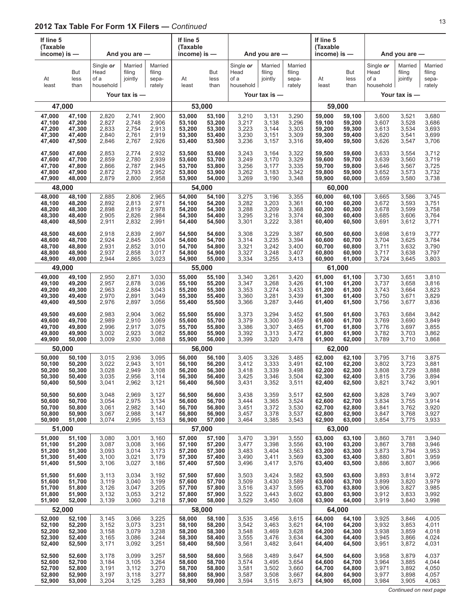| If line 5<br>(Taxable<br>income) is -<br>But |              |                                        | And you are $-$              |                                      | If line 5<br>(Taxable<br>income) is $-$ |                     |                                        | And you are -                |                                      | If line 5<br>(Taxable<br>income) is $-$ |                     |                                        | And you are $-$              |                                      |
|----------------------------------------------|--------------|----------------------------------------|------------------------------|--------------------------------------|-----------------------------------------|---------------------|----------------------------------------|------------------------------|--------------------------------------|-----------------------------------------|---------------------|----------------------------------------|------------------------------|--------------------------------------|
| At<br>least                                  | less<br>than | Single or<br>Head<br>of a<br>household | Married<br>filing<br>jointly | Married<br>filing<br>sepa-<br>rately | At<br>least                             | But<br>less<br>than | Single or<br>Head<br>of a<br>household | Married<br>filing<br>jointly | Married<br>filing<br>sepa-<br>rately | At<br>least                             | But<br>less<br>than | Single or<br>Head<br>of a<br>household | Married<br>filing<br>jointly | Married<br>filing<br>sepa-<br>rately |
|                                              |              |                                        | Your tax is -                |                                      |                                         |                     |                                        | Your tax is -                |                                      |                                         |                     |                                        | Your tax is -                |                                      |
|                                              | 47,000       |                                        |                              |                                      |                                         | 53,000              |                                        |                              |                                      |                                         | 59,000              |                                        |                              |                                      |
| 47,000                                       | 47,100       | 2,820                                  | 2,741                        | 2,900                                | 53,000                                  | 53,100              | 3,210                                  | 3,131                        | 3,290                                | 59,000                                  | 59.100              | 3,600                                  | 3,521                        | 3,680                                |
| 47,100                                       | 47,200       | 2,827                                  | 2,748                        | 2,906                                | 53,100                                  | 53,200              | 3,217                                  | 3,138                        | 3,296                                | 59,100                                  | 59,200              | 3,607                                  | 3,528                        | 3,686                                |
| 47,200                                       | 47,300       | 2,833                                  | 2,754                        | 2,913                                | 53,200                                  | 53,300              | 3,223                                  | 3,144                        | 3,303                                | 59,200                                  | 59,300              | 3,613                                  | 3,534                        | 3,693                                |
| 47,300                                       | 47,400       | 2,840                                  | 2,761                        | 2,919                                | 53,300                                  | 53,400              | 3,230                                  | 3,151                        | 3,309                                | 59.300                                  | 59,400              | 3,620                                  | 3,541                        | 3,699                                |
| 47,400                                       | 47,500       | 2,846                                  | 2,767                        | 2,926                                | 53,400                                  | 53,500              | 3,236                                  | 3,157                        | 3,316                                | 59,400                                  | 59,500              | 3,626                                  | 3,547                        | 3,706                                |
| 47,500                                       | 47,600       | 2,853                                  | 2,774                        | 2,932                                | 53,500                                  | 53,600              | 3,243                                  | 3,164                        | 3,322                                | 59,500                                  | 59,600              | 3,633                                  | 3,554                        | 3,712                                |
| 47,600                                       | 47,700       | 2,859                                  | 2,780                        | 2,939                                | 53,600                                  | 53,700              | 3,249                                  | 3,170                        | 3,329                                | 59,600                                  | 59,700              | 3,639                                  | 3,560                        | 3,719                                |
| 47,700                                       | 47,800       | 2,866                                  | 2,787                        | 2,945                                | 53,700                                  | 53,800              | 3,256                                  | 3,177                        | 3,335                                | 59,700                                  | 59,800              | 3,646                                  | 3,567                        | 3,725                                |
| 47,800                                       | 47,900       | 2,872                                  | 2,793                        | 2,952                                | 53,800                                  | 53,900              | 3,262                                  | 3,183                        | 3,342                                | 59,800                                  | 59,900              | 3,652                                  | 3,573                        | 3,732                                |
| 47,900                                       | 48,000       | 2,879                                  | 2,800                        | 2,958                                | 53,900                                  | 54,000              | 3,269                                  | 3,190                        | 3,348                                | 59,900                                  | 60,000              | 3,659                                  | 3,580                        | 3,738                                |
|                                              | 48,000       |                                        |                              |                                      |                                         | 54,000              |                                        |                              |                                      |                                         | 60,000              |                                        |                              |                                      |
| 48,000                                       | 48,100       | 2,885                                  | 2,806                        | 2,965                                | 54,000                                  | 54,100              | 3,275                                  | 3,196                        | 3,355                                | 60,000                                  | 60,100              | 3,665                                  | 3,586                        | 3,745                                |
| 48,100                                       | 48,200       | 2,892                                  | 2,813                        | 2,971                                | 54,100                                  | 54,200              | 3,282                                  | 3,203                        | 3,361                                | 60,100                                  | 60,200              | 3,672                                  | 3,593                        | 3,751                                |
| 48,200                                       | 48,300       | 2,898                                  | 2,819                        | 2,978                                | 54,200                                  | 54,300              | 3,288                                  | 3,209                        | 3,368                                | 60,200                                  | 60,300              | 3,678                                  | 3,599                        | 3,758                                |
| 48,300                                       | 48,400       | 2,905                                  | 2,826                        | 2,984                                | 54,300                                  | 54,400              | 3,295                                  | 3,216                        | 3,374                                | 60,300                                  | 60,400              | 3,685                                  | 3,606                        | 3,764                                |
| 48,400                                       | 48,500       | 2,911                                  | 2,832                        | 2,991                                | 54,400                                  | 54,500              | 3,301                                  | 3,222                        | 3,381                                | 60,400                                  | 60,500              | 3,691                                  | 3,612                        | 3,771                                |
| 48,500                                       | 48,600       | 2,918                                  | 2,839                        | 2,997                                | 54,500                                  | 54,600              | 3,308                                  | 3,229                        | 3,387                                | 60,500                                  | 60,600              | 3,698                                  | 3,619                        | 3,777                                |
| 48,600                                       | 48,700       | 2,924                                  | 2,845                        | 3,004                                | 54,600                                  | 54,700              | 3,314                                  | 3,235                        | 3,394                                | 60,600                                  | 60,700              | 3,704                                  | 3,625                        | 3,784                                |
| 48,700                                       | 48,800       | 2,931                                  | 2,852                        | 3,010                                | 54,700                                  | 54,800              | 3,321                                  | 3,242                        | 3,400                                | 60,700                                  | 60,800              | 3,711                                  | 3,632                        | 3,790                                |
| 48,800                                       | 48,900       | 2,937                                  | 2,858                        | 3,017                                | 54,800                                  | 54,900              | 3,327                                  | 3,248                        | 3,407                                | 60,800                                  | 60,900              | 3,717                                  | 3,638                        | 3,797                                |
| 48,900                                       | 49,000       | 2,944                                  | 2,865                        | 3,023                                | 54,900                                  | 55,000              | 3,334                                  | 3,255                        | 3,413                                | 60,900                                  | 61,000              | 3,724                                  | 3,645                        | 3,803                                |
|                                              | 49,000       |                                        |                              |                                      |                                         | 55,000              |                                        |                              |                                      |                                         | 61,000              |                                        |                              |                                      |
| 49,000                                       | 49,100       | 2,950                                  | 2,871                        | 3,030                                | 55,000                                  | 55,100              | 3,340                                  | 3,261                        | 3,420                                | 61,000                                  | 61,100              | 3,730                                  | 3,651                        | 3,810                                |
| 49,100                                       | 49,200       | 2,957                                  | 2,878                        | 3,036                                | 55,100                                  | 55,200              | 3,347                                  | 3,268                        | 3,426                                | 61,100                                  | 61,200              | 3,737                                  | 3,658                        | 3,816                                |
| 49,200                                       | 49,300       | 2,963                                  | 2,884                        | 3,043                                | 55,200                                  | 55,300              | 3,353                                  | 3,274                        | 3,433                                | 61,200                                  | 61,300              | 3,743                                  | 3,664                        | 3,823                                |
| 49,300                                       | 49,400       | 2,970                                  | 2,891                        | 3,049                                | 55,300                                  | 55,400              | 3,360                                  | 3,281                        | 3,439                                | 61,300                                  | 61,400              | 3,750                                  | 3,671                        | 3,829                                |
| 49,400                                       | 49,500       | 2,976                                  | 2,897                        | 3,056                                | 55,400                                  | 55,500              | 3,366                                  | 3,287                        | 3,446                                | 61,400                                  | 61,500              | 3,756                                  | 3,677                        | 3,836                                |
| 49,500                                       | 49,600       | 2,983                                  | 2,904                        | 3,062                                | 55,500                                  | 55,600              | 3,373                                  | 3,294                        | 3,452                                | 61,500                                  | 61,600              | 3,763                                  | 3,684                        | 3,842                                |
| 49,600                                       | 49,700       | 2,989                                  | 2,910                        | 3,069                                | 55,600                                  | 55,700              | 3,379                                  | 3,300                        | 3,459                                | 61,600                                  | 61,700              | 3,769                                  | 3,690                        | 3,849                                |
| 49,700                                       | 49,800       | 2,996                                  | 2,917                        | 3,075                                | 55,700                                  | 55,800              | 3,386                                  | 3,307                        | 3,465                                | 61,700                                  | 61,800              | 3,776                                  | 3,697                        | 3,855                                |
| 49,800                                       | 49,900       | 3,002                                  | 2,923                        | 3,082                                | 55,800                                  | 55,900              | 3,392                                  | 3,313                        | 3,472                                | 61,800                                  | 61,900              | 3,782                                  | 3,703                        | 3,862                                |
| 49,900                                       | 50,000       | 3,009                                  | 2,930                        | 3,088                                | 55,900                                  | 56,000              | 3,399                                  | 3,320                        | 3,478                                | 61,900                                  | 62,000              | 3,789                                  | 3,710                        | 3,868                                |
|                                              | 50,000       |                                        |                              |                                      |                                         | 56,000              |                                        |                              |                                      |                                         | 62.000              |                                        |                              |                                      |
| 50,000                                       | 50,100       | 3,015                                  | 2,936                        | 3,095                                | 56,000                                  | 56,100              | 3,405                                  | 3,326                        | 3,485                                | 62,000                                  | 62,100              | 3,795                                  | 3,716                        | 3,875                                |
| 50,100                                       | 50,200       | 3,022                                  | 2,943                        | 3,101                                | 56,100                                  | 56,200              | 3,412                                  | 3,333                        | 3,491                                | 62,100                                  | 62,200              | 3,802                                  | 3,723                        | 3,881                                |
| 50,200                                       | 50,300       | 3,028                                  | 2,949                        | 3,108                                | 56,200                                  | 56,300              | 3,418                                  | 3,339                        | 3,498                                | 62,200                                  | 62,300              | 3,808                                  | 3,729                        | 3,888                                |
| 50,300                                       | 50,400       | 3,035                                  | 2,956                        | 3,114                                | 56,300                                  | 56,400              | 3,425                                  | 3,346                        | 3,504                                | 62,300                                  | 62,400              | 3,815                                  | 3,736                        | 3,894                                |
| 50,400                                       | 50,500       | 3,041                                  | 2,962                        | 3,121                                | 56,400                                  | 56,500              | 3,431                                  | 3,352                        | 3,511                                | 62,400                                  | 62,500              | 3,821                                  | 3,742                        | 3,901                                |
| 50,500                                       | 50,600       | 3,048                                  | 2,969                        | 3,127                                | 56,500                                  | 56,600              | 3,438                                  | 3,359                        | 3,517                                | 62,500                                  | 62,600              | 3,828                                  | 3,749                        | 3,907                                |
| 50,600                                       | 50,700       | 3,054                                  | 2,975                        | 3,134                                | 56,600                                  | 56,700              | 3,444                                  | 3,365                        | 3,524                                | 62,600                                  | 62,700              | 3,834                                  | 3,755                        | 3,914                                |
| 50,700                                       | 50,800       | 3,061                                  | 2,982                        | 3,140                                | 56,700                                  | 56,800              | 3,451                                  | 3,372                        | 3,530                                | 62,700                                  | 62,800              | 3,841                                  | 3,762                        | 3,920                                |
| 50,800                                       | 50,900       | 3,067                                  | 2,988                        | 3,147                                | 56,800                                  | 56,900              | 3,457                                  | 3,378                        | 3,537                                | 62,800                                  | 62,900              | 3,847                                  | 3,768                        | 3,927                                |
| 50,900                                       | 51,000       | 3,074                                  | 2,995                        | 3,153                                | 56,900                                  | 57,000              | 3,464                                  | 3,385                        | 3,543                                | 62,900                                  | 63,000              | 3,854                                  | 3,775                        | 3,933                                |
|                                              | 51,000       |                                        |                              |                                      |                                         | 57,000              |                                        |                              |                                      |                                         | 63,000              |                                        |                              |                                      |
| 51,000                                       | 51,100       | 3,080                                  | 3,001                        | 3,160                                | 57,000                                  | 57,100              | 3,470                                  | 3,391                        | 3,550                                | 63,000                                  | 63,100              | 3,860                                  | 3,781                        | 3,940                                |
| 51,100                                       | 51,200       | 3,087                                  | 3,008                        | 3,166                                | 57,100                                  | 57,200              | 3,477                                  | 3,398                        | 3,556                                | 63,100                                  | 63,200              | 3,867                                  | 3,788                        | 3,946                                |
| 51,200                                       | 51,300       | 3,093                                  | 3,014                        | 3,173                                | 57,200                                  | 57,300              | 3,483                                  | 3,404                        | 3,563                                | 63,200                                  | 63,300              | 3,873                                  | 3,794                        | 3,953                                |
| 51,300                                       | 51,400       | 3,100                                  | 3,021                        | 3,179                                | 57,300                                  | 57,400              | 3,490                                  | 3,411                        | 3,569                                | 63,300                                  | 63,400              | 3,880                                  | 3,801                        | 3,959                                |
| 51,400                                       | 51,500       | 3,106                                  | 3,027                        | 3,186                                | 57,400                                  | 57,500              | 3,496                                  | 3,417                        | 3,576                                | 63,400                                  | 63,500              | 3,886                                  | 3,807                        | 3,966                                |
| 51,500                                       | 51,600       | 3,113                                  | 3,034                        | 3,192                                | 57,500                                  | 57,600              | 3,503                                  | 3,424                        | 3,582                                | 63,500                                  | 63,600              | 3,893                                  | 3,814                        | 3,972                                |
| 51,600                                       | 51,700       | 3,119                                  | 3,040                        | 3,199                                | 57,600                                  | 57,700              | 3,509                                  | 3,430                        | 3,589                                | 63,600                                  | 63,700              | 3,899                                  | 3,820                        | 3,979                                |
| 51,700                                       | 51,800       | 3,126                                  | 3,047                        | 3,205                                | 57,700                                  | 57,800              | 3,516                                  | 3,437                        | 3,595                                | 63,700                                  | 63,800              | 3,906                                  | 3,827                        | 3,985                                |
| 51,800                                       | 51,900       | 3,132                                  | 3,053                        | 3,212                                | 57,800                                  | 57,900              | 3,522                                  | 3,443                        | 3,602                                | 63,800                                  | 63,900              | 3,912                                  | 3,833                        | 3,992                                |
| 51,900                                       | 52,000       | 3,139                                  | 3,060                        | 3,218                                | 57,900                                  | 58,000              | 3,529                                  | 3,450                        | 3,608                                | 63,900                                  | 64,000              | 3,919                                  | 3,840                        | 3,998                                |
|                                              | 52,000       |                                        |                              |                                      |                                         | 58,000              |                                        |                              |                                      |                                         | 64,000              |                                        |                              |                                      |
| 52,000                                       | 52,100       | 3,145                                  | 3,066                        | 3,225                                | 58,000                                  | 58,100              | 3,535                                  | 3,456                        | 3,615                                | 64,000                                  | 64,100              | 3,925                                  | 3,846                        | 4,005                                |
| 52,100                                       | 52,200       | 3,152                                  | 3,073                        | 3,231                                | 58,100                                  | 58,200              | 3,542                                  | 3,463                        | 3,621                                | 64,100                                  | 64,200              | 3,932                                  | 3,853                        | 4,011                                |
| 52,200                                       | 52,300       | 3,158                                  | 3,079                        | 3,238                                | 58,200                                  | 58,300              | 3,548                                  | 3,469                        | 3,628                                | 64,200                                  | 64,300              | 3,938                                  | 3,859                        | 4,018                                |
| 52,300                                       | 52,400       | 3,165                                  | 3,086                        | 3,244                                | 58,300                                  | 58,400              | 3,555                                  | 3,476                        | 3,634                                | 64,300                                  | 64,400              | 3,945                                  | 3,866                        | 4,024                                |
| 52,400                                       | 52,500       | 3,171                                  | 3,092                        | 3,251                                | 58,400                                  | 58,500              | 3,561                                  | 3,482                        | 3,641                                | 64,400                                  | 64,500              | 3,951                                  | 3,872                        | 4,031                                |
| 52,500                                       | 52,600       | 3,178                                  | 3,099                        | 3,257                                | 58,500                                  | 58,600              | 3,568                                  | 3,489                        | 3,647                                | 64,500                                  | 64,600              | 3,958                                  | 3,879                        | 4,037                                |
| 52,600                                       | 52,700       | 3,184                                  | 3,105                        | 3,264                                | 58,600                                  | 58,700              | 3,574                                  | 3,495                        | 3,654                                | 64,600                                  | 64,700              | 3,964                                  | 3,885                        | 4,044                                |
| 52,700                                       | 52,800       | 3,191                                  | 3,112                        | 3,270                                | 58,700                                  | 58,800              | 3,581                                  | 3,502                        | 3,660                                | 64,700                                  | 64,800              | 3,971                                  | 3,892                        | 4,050                                |
| 52,800                                       | 52,900       | 3,197                                  | 3,118                        | 3,277                                | 58,800                                  | 58,900              | 3,587                                  | 3,508                        | 3,667                                | 64,800                                  | 64,900              | 3,977                                  | 3,898                        | 4,057                                |
| 52,900                                       | 53,000       | 3,204                                  | 3,125                        | 3,283                                | 58,900                                  | 59,000              | 3,594                                  | 3,515                        | 3,673                                | 64,900                                  | 65,000              | 3,984                                  | 3,905                        | 4,063                                |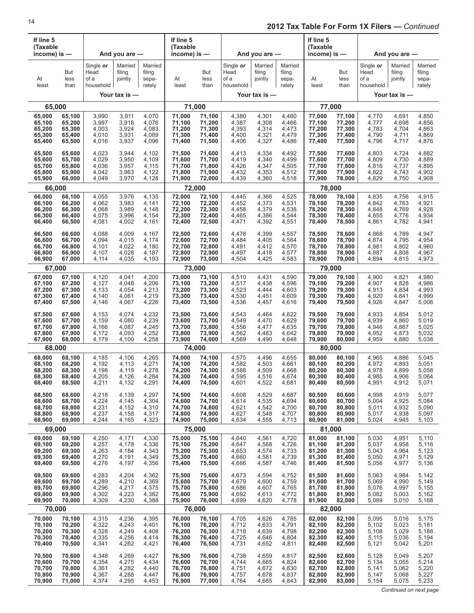| If line 5<br>(Taxable |                     |                                        |                              |                                      | If line 5<br>(Taxable |                     |                                        |                              |                                      | If line 5<br>(Taxable |                     |                                        |                              |                                      |
|-----------------------|---------------------|----------------------------------------|------------------------------|--------------------------------------|-----------------------|---------------------|----------------------------------------|------------------------------|--------------------------------------|-----------------------|---------------------|----------------------------------------|------------------------------|--------------------------------------|
| income) is $-$        |                     |                                        | And you are $-$              |                                      | income) is $-$        |                     |                                        | And you are $-$              |                                      | income) is $-$        |                     |                                        | And you are $-$              |                                      |
| At<br>least           | But<br>less<br>than | Single or<br>Head<br>of a<br>household | Married<br>filing<br>jointly | Married<br>filing<br>sepa-<br>rately | At<br>least           | But<br>less<br>than | Single or<br>Head<br>of a<br>household | Married<br>filing<br>jointly | Married<br>filing<br>sepa-<br>rately | At<br>least           | But<br>less<br>than | Single or<br>Head<br>of a<br>household | Married<br>filing<br>jointly | Married<br>filing<br>sepa-<br>rately |
|                       |                     |                                        | Your tax is -                |                                      |                       |                     |                                        | Your tax is -                |                                      |                       |                     |                                        | Your tax is $-$              |                                      |
| 65,000                |                     |                                        |                              |                                      | 71,000                |                     |                                        |                              |                                      | 77,000                |                     |                                        |                              |                                      |
| 65,000                | 65,100              | 3,990                                  | 3,911                        | 4,070                                | 71,000                | 71,100              | 4,380                                  | 4,301                        | 4,460                                | 77,000                | 77,100              | 4,770                                  | 4,691                        | 4,850                                |
| 65,100                | 65,200              | 3,997                                  | 3,918                        | 4,076                                | 71,100                | 71,200              | 4,387                                  | 4,308                        | 4,466                                | 77,100                | 77,200              | 4,777                                  | 4,698                        | 4,856                                |
| 65,200                | 65,300              | 4,003                                  | 3,924                        | 4,083                                | 71,200                | 71,300              | 4,393                                  | 4,314                        | 4,473                                | 77,200                | 77,300              | 4,783                                  | 4,704                        | 4,863                                |
| 65,300                | 65,400              | 4,010                                  | 3,931                        | 4,089                                | 71,300                | 71,400              | 4,400                                  | 4,321                        | 4,479                                | 77,300                | 77,400              | 4,790                                  | 4,711                        | 4,869                                |
| 65,400                | 65,500              | 4,016                                  | 3,937                        | 4,096                                | 71,400                | 71,500              | 4,406                                  | 4,327                        | 4,486                                | 77,400                | 77,500              | 4,796                                  | 4,717                        | 4,876                                |
| 65,500                | 65,600              | 4,023                                  | 3,944                        | 4,102                                | 71,500                | 71,600              | 4,413                                  | 4,334                        | 4,492                                | 77,500                | 77,600              | 4,803                                  | 4,724                        | 4,882                                |
| 65,600                | 65,700              | 4,029                                  | 3,950                        | 4,109                                | 71,600                | 71,700              | 4,419                                  | 4,340                        | 4,499                                | 77,600                | 77,700              | 4,809                                  | 4,730                        | 4,889                                |
| 65,700                | 65,800              | 4,036                                  | 3,957                        | 4,115                                | 71,700                | 71,800              | 4,426                                  | 4,347                        | 4,505                                | 77,700                | 77,800              | 4,816                                  | 4,737                        | 4,895                                |
| 65,800                | 65,900              | 4,042                                  | 3,963                        | 4,122                                | 71,800                | 71,900              | 4,432                                  | 4,353                        | 4,512                                | 77,800                | 77,900              | 4,822                                  | 4,743                        | 4,902                                |
| 65,900                | 66,000              | 4,049                                  | 3,970                        | 4,128                                | 71,900                | 72,000              | 4,439                                  | 4,360                        | 4,518                                | 77,900                | 78,000              | 4,829                                  | 4,750                        | 4,908                                |
| 66,000                |                     |                                        |                              |                                      | 72,000                |                     |                                        |                              |                                      | 78,000                |                     |                                        |                              |                                      |
| 66,000                | 66,100              | 4,055                                  | 3,976                        | 4,135                                | 72,000                | 72,100              | 4,445                                  | 4,366                        | 4,525                                | 78,000                | 78,100              | 4,835                                  | 4,756                        | 4,915                                |
| 66,100                | 66,200              | 4,062                                  | 3,983                        | 4,141                                | 72,100                | 72,200              | 4,452                                  | 4,373                        | 4,531                                | 78,100                | 78,200              | 4,842                                  | 4,763                        | 4,921                                |
| 66,200                | 66,300              | 4,068                                  | 3,989                        | 4,148                                | 72,200                | 72,300              | 4,458                                  | 4,379                        | 4,538                                | 78,200                | 78,300              | 4,848                                  | 4,769                        | 4,928                                |
| 66,300                | 66,400              | 4,075                                  | 3,996                        | 4,154                                | 72,300                | 72,400              | 4,465                                  | 4,386                        | 4,544                                | 78,300                | 78,400              | 4,855                                  | 4,776                        | 4,934                                |
| 66,400                | 66,500              | 4,081                                  | 4,002                        | 4,161                                | 72,400                | 72,500              | 4,471                                  | 4,392                        | 4,551                                | 78,400                | 78,500              | 4,861                                  | 4,782                        | 4,941                                |
| 66,500                | 66,600              | 4,088                                  | 4,009                        | 4,167                                | 72,500                | 72,600              | 4,478                                  | 4,399                        | 4,557                                | 78,500                | 78,600              | 4,868                                  | 4,789                        | 4,947                                |
| 66,600                | 66,700              | 4,094                                  | 4,015                        | 4,174                                | 72,600                | 72,700              | 4,484                                  | 4,405                        | 4,564                                | 78,600                | 78,700              | 4,874                                  | 4,795                        | 4,954                                |
| 66,700                | 66,800              | 4,101                                  | 4,022                        | 4,180                                | 72,700                | 72,800              | 4,491                                  | 4,412                        | 4,570                                | 78,700                | 78,800              | 4,881                                  | 4,802                        | 4,960                                |
| 66,800                | 66,900              | 4,107                                  | 4,028                        | 4,187                                | 72,800                | 72,900              | 4,497                                  | 4,418                        | 4,577                                | 78,800                | 78,900              | 4,887                                  | 4,808                        | 4,967                                |
| 66,900                | 67,000              | 4,114                                  | 4,035                        | 4,193                                | 72,900                | 73,000              | 4,504                                  | 4,425                        | 4,583                                | 78,900                | 79,000              | 4,894                                  | 4,815                        | 4,973                                |
| 67,000                |                     |                                        |                              |                                      | 73,000                |                     |                                        |                              |                                      | 79,000                |                     |                                        |                              |                                      |
| 67,000                | 67,100              | 4,120                                  | 4,041                        | 4,200                                | 73,000                | 73,100              | 4,510                                  | 4,431                        | 4,590                                | 79,000                | 79,100              | 4,900                                  | 4,821                        | 4,980                                |
| 67,100                | 67,200              | 4,127                                  | 4,048                        | 4,206                                | 73,100                | 73,200              | 4,517                                  | 4,438                        | 4,596                                | 79,100                | 79,200              | 4,907                                  | 4,828                        | 4,986                                |
| 67,200                | 67,300              | 4,133                                  | 4,054                        | 4,213                                | 73,200                | 73,300              | 4,523                                  | 4,444                        | 4,603                                | 79,200                | 79,300              | 4,913                                  | 4,834                        | 4,993                                |
| 67,300                | 67,400              | 4,140                                  | 4,061                        | 4,219                                | 73,300                | 73,400              | 4,530                                  | 4,451                        | 4,609                                | 79,300                | 79,400              | 4,920                                  | 4,841                        | 4,999                                |
| 67,400                | 67,500              | 4,146                                  | 4,067                        | 4,226                                | 73,400                | 73,500              | 4,536                                  | 4,457                        | 4,616                                | 79,400                | 79,500              | 4,926                                  | 4,847                        | 5,006                                |
| 67,500                | 67,600              | 4,153                                  | 4,074                        | 4,232                                | 73,500                | 73,600              | 4,543                                  | 4,464                        | 4,622                                | 79,500                | 79,600              | 4,933                                  | 4,854                        | 5,012                                |
| 67,600                | 67,700              | 4,159                                  | 4,080                        | 4,239                                | 73,600                | 73,700              | 4,549                                  | 4,470                        | 4,629                                | 79,600                | 79,700              | 4,939                                  | 4,860                        | 5,019                                |
| 67,700                | 67,800              | 4,166                                  | 4,087                        | 4,245                                | 73,700                | 73,800              | 4,556                                  | 4,477                        | 4,635                                | 79,700                | 79,800              | 4,946                                  | 4,867                        | 5,025                                |
| 67,800                | 67,900              | 4,172                                  | 4,093                        | 4,252                                | 73,800                | 73,900              | 4,562                                  | 4,483                        | 4,642                                | 79,800                | 79,900              | 4,952                                  | 4,873                        | 5,032                                |
| 67,900                | 68,000              | 4,179                                  | 4,100                        | 4,258                                | 73,900                | 74,000              | 4,569                                  | 4,490                        | 4,648                                | 79,900                | 80,000              | 4,959                                  | 4,880                        | 5,038                                |
| 68,000                |                     |                                        |                              |                                      | 74,000                |                     |                                        |                              |                                      | 80,000                |                     |                                        |                              |                                      |
| 68,000                | 68,100              | 4,185                                  | 4,106                        | 4,265                                | 74,000                | 74,100              | 4,575                                  | 4,496                        | 4,655                                | 80,000                | 80,100              | 4,965                                  | 4,886                        | 5,045                                |
| 68,100                | 68,200              | 4,192                                  | 4,113                        | 4,271                                | 74,100                | 74,200              | 4,582                                  | 4,503                        | 4,661                                | 80,100                | 80,200              | 4,972                                  | 4,893                        | 5,051                                |
| 68,200                | 68,300              | 4,198                                  | 4,119                        | 4,278                                | 74,200                | 74,300              | 4,588                                  | 4,509                        | 4,668                                | 80,200                | 80,300              | 4,978                                  | 4,899                        | 5,058                                |
| 68,300                | 68,400              | 4,205                                  | 4,126                        | 4,284                                | 74,300                | 74,400              | 4,595                                  | 4,516                        | 4,674                                | 80,300                | 80,400              | 4,985                                  | 4,906                        | 5,064                                |
| 68,400                | 68,500              | 4,211                                  | 4,132                        | 4,291                                | 74,400                | 74,500              | 4,601                                  | 4,522                        | 4,681                                | 80,400                | 80,500              | 4,991                                  | 4,912                        | 5,071                                |
| 68,500                | 68,600              | 4,218                                  | 4,139                        | 4,297                                | 74,500                | 74,600              | 4,608                                  | 4,529                        | 4,687                                | 80,500                | 80,600              | 4,998                                  | 4,919                        | 5,077                                |
| 68,600                | 68,700              | 4,224                                  | 4,145                        | 4,304                                | 74,600                | 74,700              | 4,614                                  | 4,535                        | 4,694                                | 80,600                | 80,700              | 5,004                                  | 4,925                        | 5,084                                |
| 68,700                | 68,800              | 4,231                                  | 4,152                        | 4,310                                | 74,700                | 74,800              | 4,621                                  | 4,542                        | 4,700                                | 80,700                | 80,800              | 5,011                                  | 4,932                        | 5,090                                |
| 68,800                | 68,900              | 4,237                                  | 4,158                        | 4,317                                | 74,800                | 74,900              | 4,627                                  | 4,548                        | 4,707                                | 80,800                | 80,900              | 5,017                                  | 4,938                        | 5,097                                |
| 68,900                | 69,000              | 4,244                                  | 4,165                        | 4,323                                | 74,900                | 75,000              | 4,634                                  | 4,555                        | 4,713                                | 80,900                | 81,000              | 5,024                                  | 4,945                        | 5,103                                |
| 69,000                |                     |                                        |                              |                                      | 75,000                |                     |                                        |                              |                                      | 81,000                |                     |                                        |                              |                                      |
| 69,000                | 69,100              | 4,250                                  | 4,171                        | 4,330                                | 75,000                | 75,100              | 4,640                                  | 4,561                        | 4,720                                | 81,000                | 81,100              | 5,030                                  | 4,951                        | 5,110                                |
| 69,100                | 69,200              | 4,257                                  | 4,178                        | 4,336                                | 75,100                | 75,200              | 4,647                                  | 4,568                        | 4,726                                | 81,100                | 81,200              | 5,037                                  | 4,958                        | 5,116                                |
| 69,200                | 69,300              | 4,263                                  | 4,184                        | 4,343                                | 75,200                | 75,300              | 4,653                                  | 4,574                        | 4,733                                | 81,200                | 81,300              | 5,043                                  | 4,964                        | 5,123                                |
| 69,300                | 69,400              | 4,270                                  | 4,191                        | 4,349                                | 75,300                | 75,400              | 4,660                                  | 4,581                        | 4,739                                | 81,300                | 81,400              | 5,050                                  | 4,971                        | 5,129                                |
| 69,400                | 69,500              | 4,276                                  | 4,197                        | 4,356                                | 75,400                | 75,500              | 4,666                                  | 4,587                        | 4,746                                | 81,400                | 81,500              | 5,056                                  | 4,977                        | 5,136                                |
| 69,500                | 69,600              | 4,283                                  | 4,204                        | 4,362                                | 75,500                | 75,600              | 4,673                                  | 4,594                        | 4,752                                | 81,500                | 81,600              | 5,063                                  | 4,984                        | 5,142                                |
| 69,600                | 69,700              | 4,289                                  | 4,210                        | 4,369                                | 75,600                | 75,700              | 4,679                                  | 4,600                        | 4,759                                | 81,600                | 81,700              | 5,069                                  | 4,990                        | 5,149                                |
| 69,700                | 69,800              | 4,296                                  | 4,217                        | 4,375                                | 75,700                | 75,800              | 4,686                                  | 4,607                        | 4,765                                | 81,700                | 81,800              | 5,076                                  | 4,997                        | 5,155                                |
| 69,800                | 69,900              | 4,302                                  | 4,223                        | 4,382                                | 75,800                | 75,900              | 4,692                                  | 4,613                        | 4,772                                | 81,800                | 81,900              | 5,082                                  | 5,003                        | 5,162                                |
| 69,900                | 70,000              | 4,309                                  | 4,230                        | 4,388                                | 75,900                | 76,000              | 4,699                                  | 4,620                        | 4,778                                | 81,900                | 82,000              | 5,089                                  | 5,010                        | 5,168                                |
| 70,000                |                     |                                        |                              |                                      | 76,000                |                     |                                        |                              |                                      | 82,000                |                     |                                        |                              |                                      |
| 70,000                | 70,100              | 4,315                                  | 4,236                        | 4,395                                | 76,000                | 76,100              | 4,705                                  | 4,626                        | 4,785                                | 82,000                | 82,100              | 5,095                                  | 5,016                        | 5,175                                |
| 70,100                | 70,200              | 4,322                                  | 4,243                        | 4,401                                | 76,100                | 76,200              | 4,712                                  | 4,633                        | 4,791                                | 82,100                | 82,200              | 5,102                                  | 5,023                        | 5,181                                |
| 70,200                | 70,300              | 4,328                                  | 4,249                        | 4,408                                | 76,200                | 76,300              | 4,718                                  | 4,639                        | 4,798                                | 82,200                | 82,300              | 5,108                                  | 5,029                        | 5,188                                |
| 70,300                | 70,400              | 4,335                                  | 4,256                        | 4,414                                | 76,300                | 76,400              | 4,725                                  | 4,646                        | 4,804                                | 82,300                | 82,400              | 5,115                                  | 5,036                        | 5,194                                |
| 70,400                | 70,500              | 4,341                                  | 4,262                        | 4,421                                | 76,400                | 76,500              | 4,731                                  | 4,652                        | 4,811                                | 82,400                | 82,500              | 5,121                                  | 5,042                        | 5,201                                |
| 70,500                | 70,600              | 4,348                                  | 4,269                        | 4,427                                | 76,500                | 76,600              | 4,738                                  | 4,659                        | 4,817                                | 82,500                | 82,600              | 5,128                                  | 5,049                        | 5,207                                |
| 70,600                | 70,700              | 4,354                                  | 4,275                        | 4,434                                | 76,600                | 76,700              | 4,744                                  | 4,665                        | 4,824                                | 82,600                | 82,700              | 5,134                                  | 5,055                        | 5,214                                |
| 70,700                | 70,800              | 4,361                                  | 4,282                        | 4,440                                | 76,700                | 76,800              | 4,751                                  | 4,672                        | 4,830                                | 82,700                | 82,800              | 5,141                                  | 5,062                        | 5,220                                |
| 70,800                | 70,900              | 4,367                                  | 4,288                        | 4,447                                | 76,800                | 76,900              | 4,757                                  | 4,678                        | 4,837                                | 82,800                | 82,900              | 5,147                                  | 5,068                        | 5,227                                |
| 70,900                | 71,000              | 4,374                                  | 4,295                        | 4,453                                | 76,900                | 77,000              | 4,764                                  | 4,685                        | 4,843                                | 82,900                | 83,000              | 5,154                                  | 5,075                        | 5,233                                |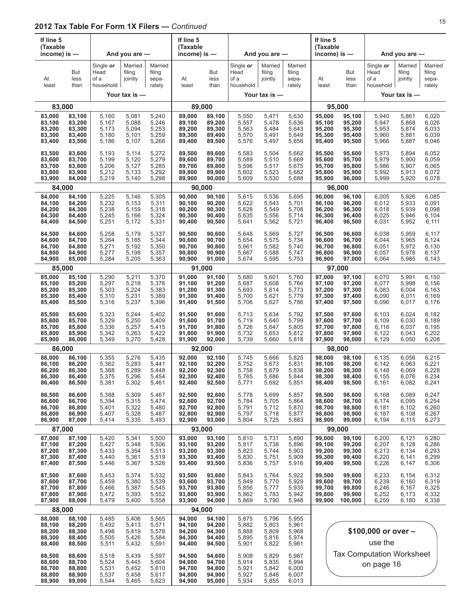| If line 5<br>(Taxable<br>income) is -          |                                                | And you are -<br>Married<br>Single or     |                                           |                                           | If line 5<br>(Taxable<br>income) is $-$        |                                                |                                           | And you are -                             |                                           | If line 5<br>(Taxable<br>income) is $-$        |                                                 |                                                | And you are $-$                           |                                           |
|------------------------------------------------|------------------------------------------------|-------------------------------------------|-------------------------------------------|-------------------------------------------|------------------------------------------------|------------------------------------------------|-------------------------------------------|-------------------------------------------|-------------------------------------------|------------------------------------------------|-------------------------------------------------|------------------------------------------------|-------------------------------------------|-------------------------------------------|
| At<br>least                                    | But<br>less<br>than                            | Head<br>of a<br>household                 | filing<br>jointly                         | Married<br>filing<br>sepa-<br>rately      | At<br>least                                    | But<br>less<br>than                            | Single or<br>Head<br>of a<br>household    | Married<br>filing<br>jointly              | Married<br>filing<br>sepa-<br>rately      | At<br>least                                    | But<br>less<br>than                             | Single or<br>Head<br>of a<br>household         | Married<br>filing<br>jointly              | Married<br>filing<br>sepa-<br>rately      |
|                                                |                                                |                                           | Your tax is -                             |                                           |                                                |                                                |                                           | Your tax is -                             |                                           |                                                |                                                 |                                                | Your tax is -                             |                                           |
| 83,000                                         |                                                |                                           |                                           |                                           |                                                | 89,000                                         |                                           |                                           |                                           |                                                | 95,000                                          |                                                |                                           |                                           |
| 83,000<br>83,100<br>83,200<br>83,300<br>83,400 | 83,100<br>83,200<br>83,300<br>83,400<br>83,500 | 5,160<br>5,167<br>5,173<br>5,180<br>5,186 | 5,081<br>5,088<br>5,094<br>5,101<br>5,107 | 5,240<br>5,246<br>5,253<br>5,259<br>5,266 | 89,000<br>89,100<br>89,200<br>89,300<br>89,400 | 89,100<br>89,200<br>89,300<br>89,400<br>89,500 | 5,550<br>5,557<br>5,563<br>5,570<br>5,576 | 5,471<br>5,478<br>5,484<br>5,491<br>5,497 | 5,630<br>5,636<br>5,643<br>5,649<br>5,656 | 95,000<br>95,100<br>95,200<br>95,300<br>95,400 | 95,100<br>95,200<br>95,300<br>95,400<br>95,500  | 5,940<br>5,947<br>5,953<br>5,960<br>5,966      | 5,861<br>5,868<br>5,874<br>5,881<br>5,887 | 6,020<br>6,026<br>6,033<br>6,039<br>6,046 |
| 83,500<br>83,600<br>83,700<br>83,800<br>83,900 | 83,600<br>83,700<br>83,800<br>83,900<br>84,000 | 5,193<br>5,199<br>5,206<br>5,212<br>5,219 | 5,114<br>5,120<br>5,127<br>5,133<br>5,140 | 5,272<br>5,279<br>5,285<br>5,292<br>5,298 | 89,500<br>89,600<br>89,700<br>89,800<br>89,900 | 89,600<br>89,700<br>89,800<br>89,900<br>90,000 | 5,583<br>5,589<br>5,596<br>5,602<br>5,609 | 5,504<br>5,510<br>5,517<br>5,523<br>5,530 | 5,662<br>5,669<br>5,675<br>5,682<br>5,688 | 95,500<br>95,600<br>95,700<br>95,800<br>95,900 | 95,600<br>95,700<br>95,800<br>95,900<br>96,000  | 5,973<br>5,979<br>5,986<br>5,992<br>5,999      | 5,894<br>5,900<br>5,907<br>5,913<br>5,920 | 6,052<br>6,059<br>6,065<br>6,072<br>6,078 |
| 84,000                                         |                                                |                                           |                                           |                                           |                                                | 90,000                                         |                                           |                                           |                                           |                                                | 96,000                                          |                                                |                                           |                                           |
| 84,000<br>84,100<br>84,200<br>84,300<br>84,400 | 84,100<br>84,200<br>84,300<br>84,400<br>84,500 | 5,225<br>5,232<br>5,238<br>5,245<br>5,251 | 5,146<br>5,153<br>5,159<br>5,166<br>5,172 | 5,305<br>5,311<br>5,318<br>5,324<br>5,331 | 90,000<br>90,100<br>90,200<br>90,300<br>90,400 | 90,100<br>90,200<br>90,300<br>90,400<br>90,500 | 5,615<br>5,622<br>5,628<br>5,635<br>5,641 | 5,536<br>5,543<br>5,549<br>5,556<br>5,562 | 5,695<br>5,701<br>5,708<br>5,714<br>5,721 | 96,000<br>96,100<br>96,200<br>96,300<br>96,400 | 96,100<br>96,200<br>96,300<br>96,400<br>96,500  | 6,005<br>6,012<br>6,018<br>6,025<br>6,031      | 5,926<br>5,933<br>5,939<br>5,946<br>5,952 | 6,085<br>6,091<br>6,098<br>6,104<br>6,111 |
| 84,500<br>84,600<br>84,700<br>84,800<br>84,900 | 84,600<br>84,700<br>84,800<br>84,900<br>85,000 | 5,258<br>5,264<br>5,271<br>5,277<br>5,284 | 5,179<br>5,185<br>5,192<br>5,198<br>5,205 | 5,337<br>5,344<br>5,350<br>5,357<br>5,363 | 90,500<br>90,600<br>90,700<br>90,800<br>90,900 | 90,600<br>90,700<br>90,800<br>90,900<br>91,000 | 5,648<br>5,654<br>5,661<br>5,667<br>5,674 | 5,569<br>5,575<br>5,582<br>5,588<br>5,595 | 5,727<br>5,734<br>5,740<br>5,747<br>5,753 | 96,500<br>96,600<br>96,700<br>96,800<br>96,900 | 96,600<br>96,700<br>96,800<br>96,900<br>97,000  | 6,038<br>6,044<br>6,051<br>6,057<br>6,064      | 5,959<br>5,965<br>5,972<br>5,978<br>5,985 | 6,117<br>6,124<br>6,130<br>6,137<br>6,143 |
| 85,000                                         |                                                |                                           |                                           |                                           |                                                | 91,000                                         |                                           |                                           |                                           |                                                | 97,000                                          |                                                |                                           |                                           |
| 85,000<br>85,100<br>85,200<br>85,300<br>85,400 | 85,100<br>85,200<br>85,300<br>85,400<br>85,500 | 5,290<br>5,297<br>5,303<br>5,310<br>5,316 | 5,211<br>5,218<br>5,224<br>5,231<br>5,237 | 5,370<br>5,376<br>5,383<br>5,389<br>5,396 | 91,000<br>91,100<br>91,200<br>91,300<br>91,400 | 91,100<br>91,200<br>91,300<br>91,400<br>91,500 | 5,680<br>5,687<br>5,693<br>5,700<br>5,706 | 5,601<br>5,608<br>5,614<br>5,621<br>5,627 | 5,760<br>5,766<br>5,773<br>5,779<br>5,786 | 97,000<br>97,100<br>97,200<br>97,300<br>97,400 | 97,100<br>97,200<br>97,300<br>97,400<br>97,500  | 6,070<br>6,077<br>6,083<br>6,090<br>6,096      | 5,991<br>5,998<br>6,004<br>6,011<br>6,017 | 6,150<br>6,156<br>6,163<br>6,169<br>6,176 |
| 85,500<br>85,600<br>85,700<br>85,800<br>85,900 | 85,600<br>85,700<br>85,800<br>85,900<br>86,000 | 5,323<br>5,329<br>5,336<br>5,342<br>5,349 | 5,244<br>5,250<br>5,257<br>5,263<br>5,270 | 5,402<br>5,409<br>5,415<br>5,422<br>5,428 | 91,500<br>91,600<br>91,700<br>91,800<br>91,900 | 91,600<br>91,700<br>91,800<br>91,900<br>92,000 | 5,713<br>5,719<br>5,726<br>5,732<br>5,739 | 5,634<br>5,640<br>5,647<br>5,653<br>5,660 | 5,792<br>5,799<br>5,805<br>5,812<br>5,818 | 97,500<br>97,600<br>97,700<br>97,800<br>97,900 | 97,600<br>97,700<br>97,800<br>97,900<br>98,000  | 6,103<br>6,109<br>6,116<br>6,122<br>6,129      | 6,024<br>6,030<br>6,037<br>6,043<br>6,050 | 6,182<br>6,189<br>6,195<br>6,202<br>6,208 |
| 86,000                                         |                                                |                                           |                                           |                                           |                                                | 92.000                                         |                                           |                                           |                                           |                                                | 98,000                                          |                                                |                                           |                                           |
| 86,000<br>86,100<br>86,200<br>86,300<br>86,400 | 86,100<br>86,200<br>86,300<br>86,400<br>86,500 | 5,355<br>5,362<br>5,368<br>5,375<br>5,381 | 5,276<br>5,283<br>5,289<br>5,296<br>5,302 | 5,435<br>5,441<br>5,448<br>5,454<br>5,461 | 92,000<br>92,100<br>92,200<br>92,300<br>92,400 | 92,100<br>92,200<br>92,300<br>92,400<br>92,500 | 5,745<br>5,752<br>5,758<br>5,765<br>5,771 | 5,666<br>5,673<br>5,679<br>5,686<br>5,692 | 5,825<br>5,831<br>5,838<br>5,844<br>5,851 | 98.000<br>98,100<br>98,200<br>98,300<br>98,400 | 98,100<br>98,200<br>98,300<br>98,400<br>98,500  | 6,135<br>6,142<br>6,148<br>6,155<br>6,161      | 6,056<br>6,063<br>6,069<br>6,076<br>6,082 | 6,215<br>6,221<br>6,228<br>6,234<br>6,241 |
| 86,500<br>86,600<br>86,700<br>86,800<br>86,900 | 86,600<br>86,700<br>86,800<br>86,900<br>87,000 | 5,388<br>5,394<br>5,401<br>5,407<br>5,414 | 5,309<br>5,315<br>5,322<br>5,328<br>5,335 | 5,467<br>5,474<br>5,480<br>5,487<br>5,493 | 92,500<br>92,600<br>92,700<br>92,800<br>92,900 | 92,600<br>92,700<br>92,800<br>92,900<br>93,000 | 5,778<br>5,784<br>5,791<br>5,797<br>5,804 | 5,699<br>5,705<br>5,712<br>5,718<br>5,725 | 5,857<br>5,864<br>5,870<br>5,877<br>5,883 | 98,500<br>98,600<br>98,700<br>98,800<br>98,900 | 98,600<br>98,700<br>98,800<br>98,900<br>99,000  | 6,168<br>6,174<br>6,181<br>6,187<br>6,194      | 6,089<br>6,095<br>6,102<br>6,108<br>6,115 | 6,247<br>6,254<br>6,260<br>6,267<br>6,273 |
| 87,000<br>87,000                               | 87,100                                         |                                           | 5,341                                     | 5,500                                     | 93,000                                         | 93,000<br>93,100                               | 5,810                                     |                                           | 5,890                                     | 99,000                                         | 99,000<br>99,100                                |                                                | 6,121                                     | 6,280                                     |
| 87,100<br>87,200<br>87,300<br>87,400           | 87,200<br>87,300<br>87,400<br>87,500           | 5,420<br>5,427<br>5,433<br>5,440<br>5,446 | 5,348<br>5,354<br>5,361<br>5,367          | 5,506<br>5,513<br>5,519<br>5,526          | 93,100<br>93,200<br>93,300<br>93,400           | 93,200<br>93,300<br>93,400<br>93,500           | 5,817<br>5,823<br>5,830<br>5,836          | 5,731<br>5,738<br>5,744<br>5,751<br>5,757 | 5,896<br>5,903<br>5,909<br>5,916          | 99,100<br>99,200<br>99,300<br>99,400           | 99,200<br>99,300<br>99,400<br>99,500            | 6,200<br>6,207<br>6,213<br>6,220<br>6,226      | 6,128<br>6,134<br>6,141<br>6,147          | 6,286<br>6,293<br>6,299<br>6,306          |
| 87,500<br>87,600<br>87,700<br>87,800<br>87,900 | 87,600<br>87,700<br>87,800<br>87,900<br>88,000 | 5,453<br>5,459<br>5,466<br>5,472<br>5,479 | 5,374<br>5,380<br>5,387<br>5,393<br>5,400 | 5,532<br>5,539<br>5,545<br>5,552<br>5,558 | 93,500<br>93,600<br>93,700<br>93,800<br>93,900 | 93,600<br>93,700<br>93,800<br>93,900<br>94,000 | 5,843<br>5,849<br>5,856<br>5,862<br>5,869 | 5,764<br>5,770<br>5,777<br>5,783<br>5,790 | 5,922<br>5,929<br>5,935<br>5,942<br>5,948 | 99,500<br>99,600<br>99,700<br>99,800<br>99,900 | 99,600<br>99,700<br>99,800<br>99,900<br>100,000 | 6,233<br>6,239<br>6,246<br>6,252<br>6,259      | 6,154<br>6,160<br>6,167<br>6,173<br>6,180 | 6,312<br>6,319<br>6,325<br>6,332<br>6,338 |
| 88,000                                         |                                                |                                           |                                           |                                           |                                                | 94,000                                         |                                           |                                           |                                           |                                                |                                                 |                                                |                                           |                                           |
| 88,000<br>88,100<br>88,200<br>88,300<br>88,400 | 88,100<br>88,200<br>88,300<br>88,400<br>88,500 | 5,485<br>5,492<br>5,498<br>5,505<br>5,511 | 5,406<br>5,413<br>5,419<br>5,426<br>5,432 | 5,565<br>5,571<br>5,578<br>5,584<br>5,591 | 94,000<br>94,100<br>94,200<br>94,300<br>94,400 | 94,100<br>94,200<br>94,300<br>94,400<br>94,500 | 5,875<br>5,882<br>5,888<br>5,895<br>5,901 | 5,796<br>5,803<br>5,809<br>5,816<br>5,822 | 5,955<br>5,961<br>5,968<br>5,974<br>5,981 | \$100,000 or over -<br>use the                 |                                                 |                                                |                                           |                                           |
| 88,500<br>88,600<br>88,700<br>88,800<br>88,900 | 88,600<br>88,700<br>88,800<br>88,900<br>89,000 | 5,518<br>5,524<br>5,531<br>5,537<br>5,544 | 5,439<br>5,445<br>5,452<br>5,458<br>5,465 | 5,597<br>5,604<br>5,610<br>5,617<br>5,623 | 94,500<br>94,600<br>94,700<br>94,800<br>94,900 | 94,600<br>94,700<br>94,800<br>94,900<br>95,000 | 5,908<br>5,914<br>5,921<br>5,927<br>5,934 | 5,829<br>5,835<br>5,842<br>5,848<br>5,855 | 5,987<br>5,994<br>6,000<br>6,007<br>6,013 |                                                |                                                 | <b>Tax Computation Worksheet</b><br>on page 16 |                                           |                                           |